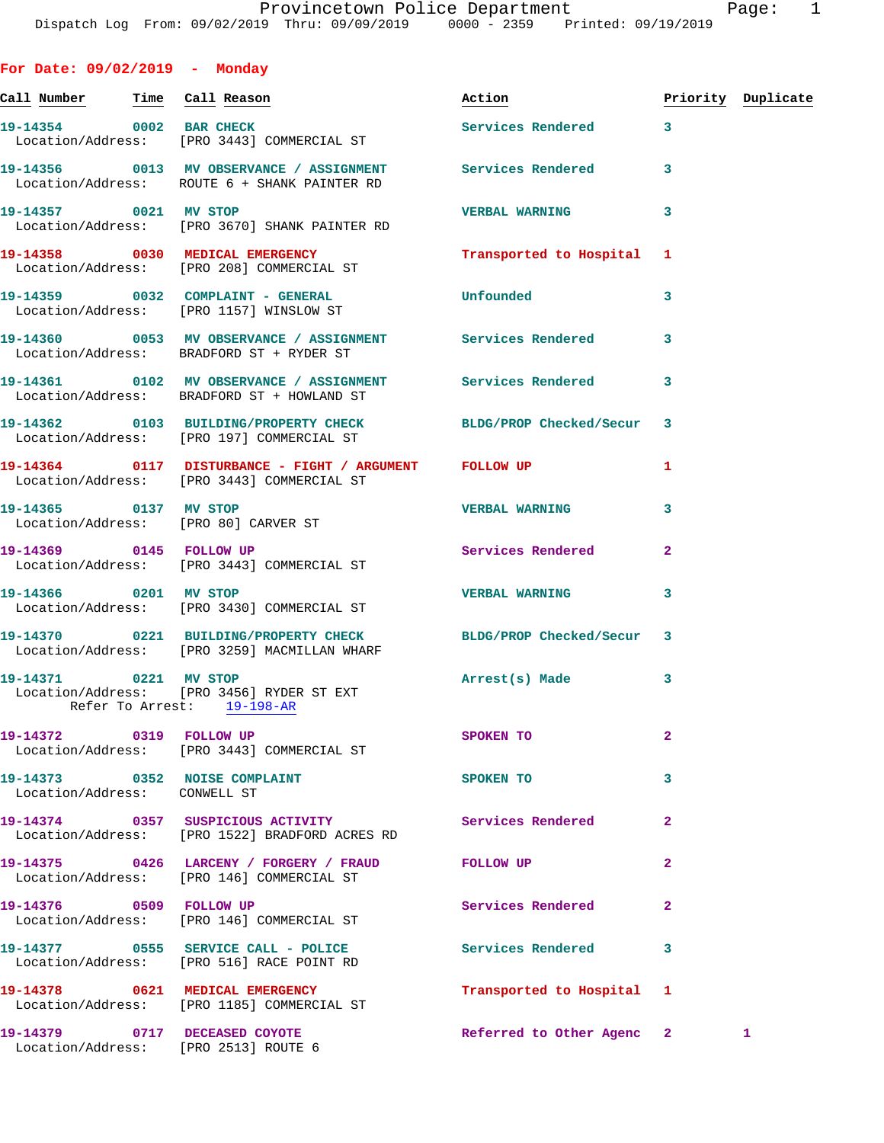Call Number Time Call Reason **Reason Action Action** Priority Duplicate **19-14354 0002 BAR CHECK Services Rendered 3**  Location/Address: [PRO 3443] COMMERCIAL ST **19-14356 0013 MV OBSERVANCE / ASSIGNMENT Services Rendered 3**  Location/Address: ROUTE 6 + SHANK PAINTER RD **19-14357 0021 MV STOP VERBAL WARNING 3**  Location/Address: [PRO 3670] SHANK PAINTER RD **19-14358 0030 MEDICAL EMERGENCY Transported to Hospital 1**  Location/Address: [PRO 208] COMMERCIAL ST **19-14359 0032 COMPLAINT - GENERAL Unfounded 3**  Location/Address: [PRO 1157] WINSLOW ST **19-14360 0053 MV OBSERVANCE / ASSIGNMENT Services Rendered 3**  Location/Address: BRADFORD ST + RYDER ST **19-14361 0102 MV OBSERVANCE / ASSIGNMENT Services Rendered 3**  Location/Address: BRADFORD ST + HOWLAND ST **19-14362 0103 BUILDING/PROPERTY CHECK BLDG/PROP Checked/Secur 3**  Location/Address: [PRO 197] COMMERCIAL ST **19-14364 0117 DISTURBANCE - FIGHT / ARGUMENT FOLLOW UP 1**  Location/Address: [PRO 3443] COMMERCIAL ST **19-14365 0137 MV STOP VERBAL WARNING 3**  Location/Address: [PRO 80] CARVER ST **19-14369 0145 FOLLOW UP Services Rendered 2**  Location/Address: [PRO 3443] COMMERCIAL ST **19-14366 0201 MV STOP VERBAL WARNING 3**  Location/Address: [PRO 3430] COMMERCIAL ST **19-14370 0221 BUILDING/PROPERTY CHECK BLDG/PROP Checked/Secur 3**  Location/Address: [PRO 3259] MACMILLAN WHARF **19-14371 0221 MV STOP Arrest(s) Made 3**  Location/Address: [PRO 3456] RYDER ST EXT Refer To Arrest: 19-198-AR **19-14372 0319 FOLLOW UP SPOKEN TO 2**  Location/Address: [PRO 3443] COMMERCIAL ST **19-14373** 0352 NOISE COMPLAINT SPOKEN TO 3 Location/Address: CONWELL ST **19-14374 0357 SUSPICIOUS ACTIVITY Services Rendered 2**  Location/Address: [PRO 1522] BRADFORD ACRES RD **19-14375 0426 LARCENY / FORGERY / FRAUD FOLLOW UP 2**  Location/Address: [PRO 146] COMMERCIAL ST **19-14376 0509 FOLLOW UP Services Rendered 2**  Location/Address: [PRO 146] COMMERCIAL ST **19-14377 0555 SERVICE CALL - POLICE Services Rendered 3**  Location/Address: [PRO 516] RACE POINT RD **19-14378 0621 MEDICAL EMERGENCY Transported to Hospital 1** 

**19-14379 0717 DECEASED COYOTE Referred to Other Agenc 2 1** 

Location/Address: [PRO 2513] ROUTE 6

**For Date: 09/02/2019 - Monday**

Location/Address: [PRO 1185] COMMERCIAL ST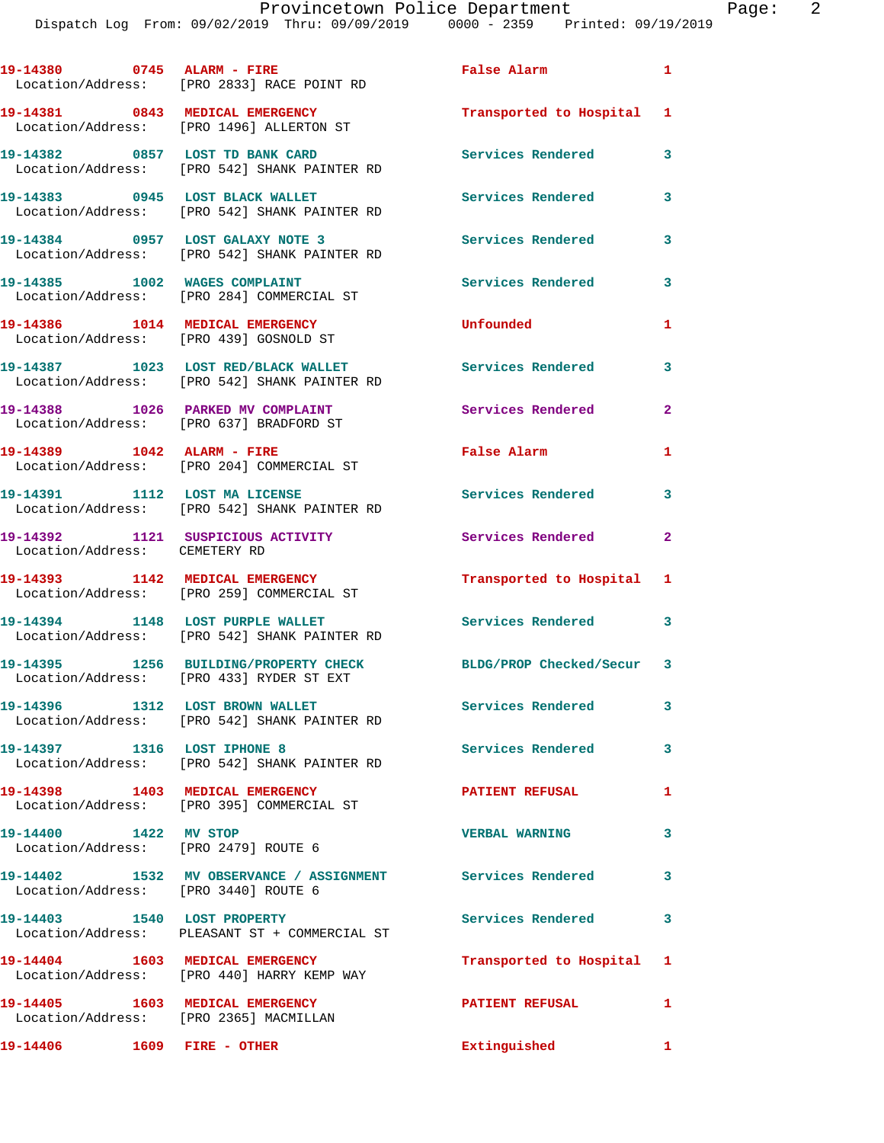| 19-14380 0745 ALARM - FIRE                                    | Location/Address: [PRO 2833] RACE POINT RD                                          | False Alarm                | $\mathbf{1}$ |
|---------------------------------------------------------------|-------------------------------------------------------------------------------------|----------------------------|--------------|
|                                                               | 19-14381 0843 MEDICAL EMERGENCY<br>Location/Address: [PRO 1496] ALLERTON ST         | Transported to Hospital 1  |              |
|                                                               | 19-14382 0857 LOST TD BANK CARD<br>Location/Address: [PRO 542] SHANK PAINTER RD     | Services Rendered          | $\mathbf{3}$ |
|                                                               | 19-14383 0945 LOST BLACK WALLET<br>Location/Address: [PRO 542] SHANK PAINTER RD     | Services Rendered          | 3            |
|                                                               | 19-14384 0957 LOST GALAXY NOTE 3<br>Location/Address: [PRO 542] SHANK PAINTER RD    | <b>Services Rendered</b>   | 3            |
|                                                               | 19-14385 1002 WAGES COMPLAINT<br>Location/Address: [PRO 284] COMMERCIAL ST          | Services Rendered          | 3            |
| 19-14386 1014 MEDICAL EMERGENCY                               | Location/Address: [PRO 439] GOSNOLD ST                                              | Unfounded                  | $\mathbf{1}$ |
|                                                               | 19-14387 1023 LOST RED/BLACK WALLET<br>Location/Address: [PRO 542] SHANK PAINTER RD | <b>Services Rendered</b>   | 3            |
|                                                               | 19-14388 1026 PARKED MV COMPLAINT<br>Location/Address: [PRO 637] BRADFORD ST        | Services Rendered          | $\mathbf{2}$ |
| 19-14389 1042 ALARM - FIRE                                    | Location/Address: [PRO 204] COMMERCIAL ST                                           | False Alarm                | 1            |
|                                                               | 19-14391 1112 LOST MA LICENSE<br>Location/Address: [PRO 542] SHANK PAINTER RD       | <b>Services Rendered</b>   | 3            |
| Location/Address: CEMETERY RD                                 | 19-14392 1121 SUSPICIOUS ACTIVITY                                                   | Services Rendered 2        |              |
|                                                               | 19-14393 1142 MEDICAL EMERGENCY<br>Location/Address: [PRO 259] COMMERCIAL ST        | Transported to Hospital    | 1            |
| 19-14394 1148 LOST PURPLE WALLET                              | Location/Address: [PRO 542] SHANK PAINTER RD                                        | <b>Services Rendered</b> 3 |              |
|                                                               | 19-14395 1256 BUILDING/PROPERTY CHECK<br>Location/Address: [PRO 433] RYDER ST EXT   | BLDG/PROP Checked/Secur 3  |              |
|                                                               | Location/Address: [PRO 542] SHANK PAINTER RD                                        | Services Rendered          | 3            |
| 19-14397 1316 LOST IPHONE 8                                   | Location/Address: [PRO 542] SHANK PAINTER RD                                        | <b>Services Rendered</b>   | $\mathbf{3}$ |
|                                                               | 19-14398 1403 MEDICAL EMERGENCY<br>Location/Address: [PRO 395] COMMERCIAL ST        | <b>PATIENT REFUSAL</b>     | 1            |
| 19-14400 1422 MV STOP<br>Location/Address: [PRO 2479] ROUTE 6 |                                                                                     | <b>VERBAL WARNING</b>      | 3            |
| Location/Address: [PRO 3440] ROUTE 6                          | 19-14402 1532 MV OBSERVANCE / ASSIGNMENT Services Rendered 3                        |                            |              |
|                                                               | 19-14403 1540 LOST PROPERTY<br>Location/Address: PLEASANT ST + COMMERCIAL ST        | <b>Services Rendered</b>   | 3            |
|                                                               | 19-14404 1603 MEDICAL EMERGENCY<br>Location/Address: [PRO 440] HARRY KEMP WAY       | Transported to Hospital 1  |              |
| Location/Address: [PRO 2365] MACMILLAN                        | 19-14405 1603 MEDICAL EMERGENCY                                                     | <b>PATIENT REFUSAL</b>     | 1            |
| 19-14406    1609    FIRE - OTHER                              |                                                                                     | Extinguished               | $\sim$ 1     |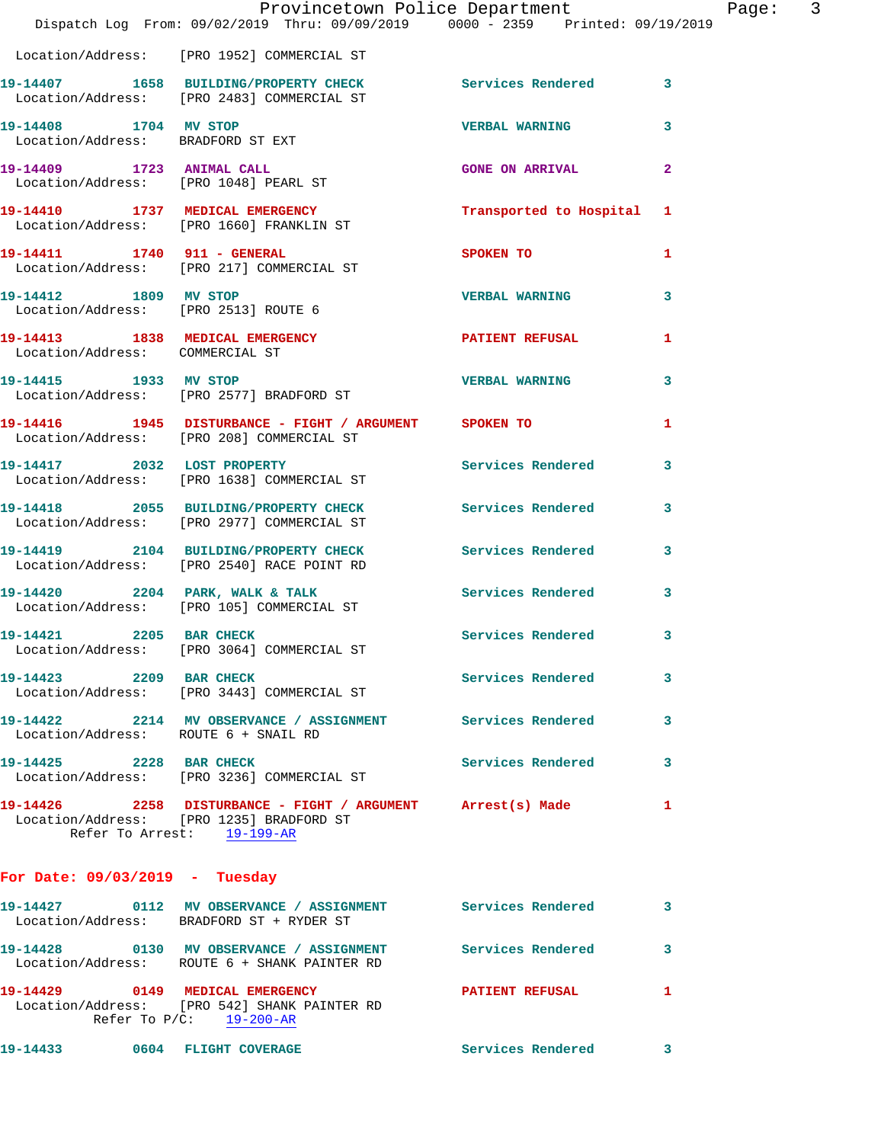|                                      | Provincetown Police Department<br>Dispatch Log From: 09/02/2019 Thru: 09/09/2019   0000 - 2359   Printed: 09/19/2019                  |                          | Page: 3                 |  |
|--------------------------------------|---------------------------------------------------------------------------------------------------------------------------------------|--------------------------|-------------------------|--|
|                                      | Location/Address: [PRO 1952] COMMERCIAL ST                                                                                            |                          |                         |  |
|                                      | 19-14407 1658 BUILDING/PROPERTY CHECK Services Rendered 3<br>Location/Address: [PRO 2483] COMMERCIAL ST                               |                          |                         |  |
| 19-14408 1704 MV STOP                | Location/Address: BRADFORD ST EXT                                                                                                     | VERBAL WARNING 3         |                         |  |
|                                      | 19-14409 1723 ANIMAL CALL<br>Location/Address: [PRO 1048] PEARL ST                                                                    | <b>GONE ON ARRIVAL</b>   | $\overline{2}$          |  |
|                                      | 19-14410 1737 MEDICAL EMERGENCY Transported to Hospital 1<br>Location/Address: [PRO 1660] FRANKLIN ST                                 |                          |                         |  |
|                                      | 19-14411 1740 911 - GENERAL<br>Location/Address: [PRO 217] COMMERCIAL ST                                                              | SPOKEN TO                | 1                       |  |
| 19-14412 1809 MV STOP                | Location/Address: [PRO 2513] ROUTE 6                                                                                                  | <b>VERBAL WARNING</b>    | $\overline{\mathbf{3}}$ |  |
| Location/Address: COMMERCIAL ST      | 19-14413 1838 MEDICAL EMERGENCY <b>A PATIENT REFUSAL</b>                                                                              |                          | 1                       |  |
|                                      | 19-14415 1933 MV STOP<br>Location/Address: [PRO 2577] BRADFORD ST                                                                     | <b>VERBAL WARNING</b>    | 3                       |  |
|                                      | 19-14416 1945 DISTURBANCE - FIGHT / ARGUMENT SPOKEN TO<br>Location/Address: [PRO 208] COMMERCIAL ST                                   |                          | 1                       |  |
|                                      | 19-14417 2032 LOST PROPERTY<br>Location/Address: [PRO 1638] COMMERCIAL ST                                                             | Services Rendered        | 3                       |  |
|                                      | 19-14418 2055 BUILDING/PROPERTY CHECK Services Rendered 3<br>Location/Address: [PRO 2977] COMMERCIAL ST                               |                          |                         |  |
|                                      | 19-14419 2104 BUILDING/PROPERTY CHECK Services Rendered<br>Location/Address: [PRO 2540] RACE POINT RD                                 |                          | $\mathbf{3}$            |  |
|                                      | 19-14420 2204 PARK, WALK & TALK Services Rendered 3<br>Location/Address: [PRO 105] COMMERCIAL ST                                      |                          |                         |  |
|                                      | 19-14421 2205 BAR CHECK<br>Location/Address: [PRO 3064] COMMERCIAL ST                                                                 | <b>Services Rendered</b> | - 3-                    |  |
| 19-14423 2209 BAR CHECK              | Location/Address: [PRO 3443] COMMERCIAL ST                                                                                            | Services Rendered        | 3                       |  |
| Location/Address: ROUTE 6 + SNAIL RD | 19-14422 2214 MV OBSERVANCE / ASSIGNMENT Services Rendered                                                                            |                          | 3                       |  |
| 19-14425 2228 BAR CHECK              | Location/Address: [PRO 3236] COMMERCIAL ST                                                                                            | Services Rendered        | 3                       |  |
|                                      | 19-14426 2258 DISTURBANCE - FIGHT / ARGUMENT Arrest(s) Made<br>Location/Address: [PRO 1235] BRADFORD ST<br>Refer To Arrest: 19-199-AR |                          | 1                       |  |
| For Date: $09/03/2019$ - Tuesday     |                                                                                                                                       |                          |                         |  |

| 19-14427 | 0112 | MV OBSERVANCE / ASSIGNMENT<br>Location/Address: BRADFORD ST + RYDER ST                         | Services Rendered      |  |
|----------|------|------------------------------------------------------------------------------------------------|------------------------|--|
| 19-14428 | 0130 | MV OBSERVANCE / ASSIGNMENT<br>Location/Address: ROUTE 6 + SHANK PAINTER RD                     | Services Rendered      |  |
| 19-14429 | 0149 | MEDICAL EMERGENCY<br>Location/Address: [PRO 542] SHANK PAINTER RD<br>Refer To $P/C:$ 19-200-AR | <b>PATIENT REFUSAL</b> |  |

**19-14433 0604 FLIGHT COVERAGE Services Rendered 3**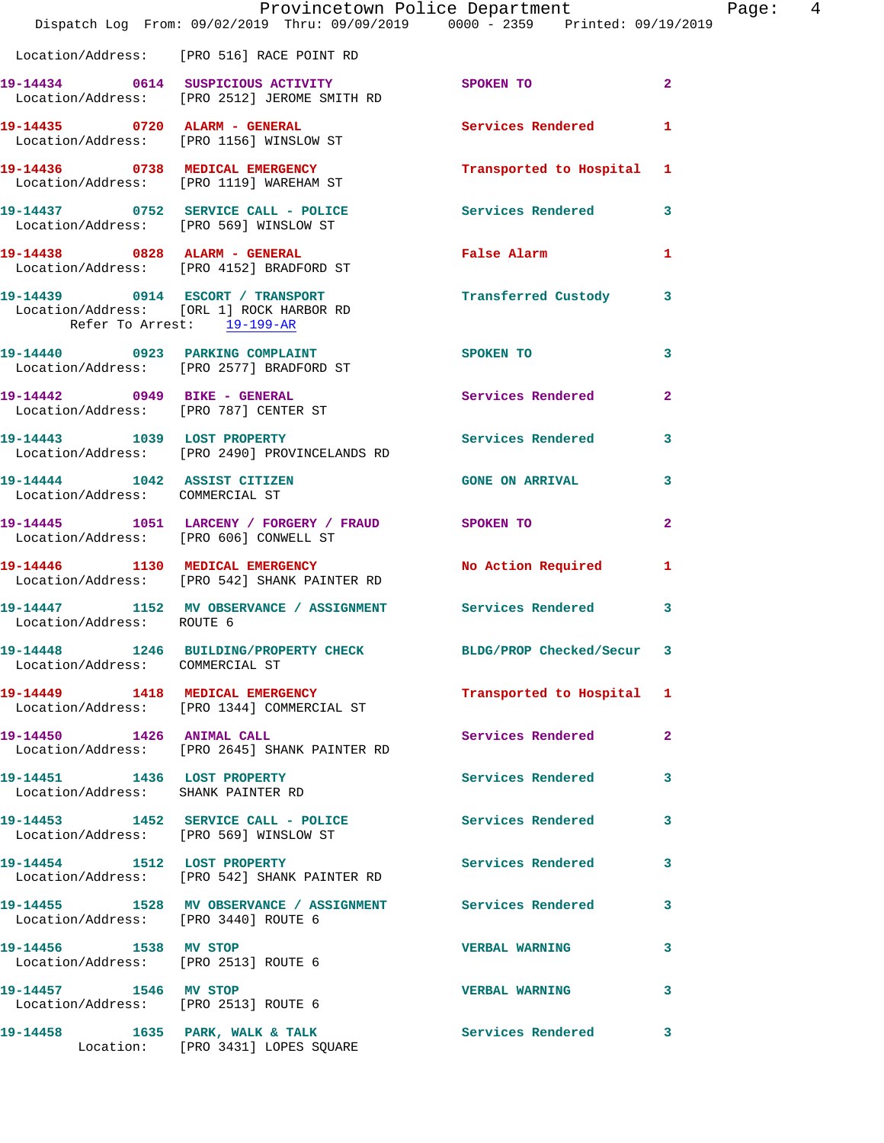|                                                                   | Provincetown Police Department Page: 4<br>Dispatch Log From: 09/02/2019 Thru: 09/09/2019 0000 - 2359 Printed: 09/19/2019 |                           |                |
|-------------------------------------------------------------------|--------------------------------------------------------------------------------------------------------------------------|---------------------------|----------------|
|                                                                   | Location/Address: [PRO 516] RACE POINT RD                                                                                |                           |                |
|                                                                   | 19-14434 0614 SUSPICIOUS ACTIVITY SPOKEN TO<br>Location/Address: [PRO 2512] JEROME SMITH RD                              |                           | $\overline{2}$ |
|                                                                   | 19-14435 0720 ALARM - GENERAL Services Rendered 1<br>Location/Address: [PRO 1156] WINSLOW ST                             |                           |                |
|                                                                   | 19-14436 0738 MEDICAL EMERGENCY Transported to Hospital 1<br>Location/Address: [PRO 1119] WAREHAM ST                     |                           |                |
|                                                                   | 19-14437 0752 SERVICE CALL - POLICE Services Rendered<br>Location/Address: [PRO 569] WINSLOW ST                          |                           | 3              |
|                                                                   | 19-14438 0828 ALARM - GENERAL<br>Location/Address: [PRO 4152] BRADFORD ST                                                | False Alarm 1             |                |
| Refer To Arrest: 19-199-AR                                        | 19-14439 0914 ESCORT / TRANSPORT 1 Transferred Custody 3<br>Location/Address: [ORL 1] ROCK HARBOR RD                     |                           |                |
|                                                                   | 19-14440 0923 PARKING COMPLAINT<br>Location/Address: [PRO 2577] BRADFORD ST                                              | <b>SPOKEN TO</b>          | 3              |
|                                                                   | 19-14442 0949 BIKE - GENERAL<br>Location/Address: [PRO 787] CENTER ST                                                    | Services Rendered 2       |                |
|                                                                   | 19-14443 1039 LOST PROPERTY<br>Location/Address: [PRO 2490] PROVINCELANDS RD                                             | Services Rendered         | 3              |
| Location/Address: COMMERCIAL ST                                   | 19-14444 1042 ASSIST CITIZEN GONE ON ARRIVAL                                                                             |                           |                |
| Location/Address: [PRO 606] CONWELL ST                            | 19-14445 1051 LARCENY / FORGERY / FRAUD SPOKEN TO                                                                        |                           | $\mathbf{2}$   |
|                                                                   | 19-14446 1130 MEDICAL EMERGENCY No Action Required 1<br>Location/Address: [PRO 542] SHANK PAINTER RD                     |                           |                |
| Location/Address: ROUTE 6                                         | 19-14447 1152 MV OBSERVANCE / ASSIGNMENT Services Rendered                                                               |                           | 3              |
| Location/Address: COMMERCIAL ST                                   | 19-14448 1246 BUILDING/PROPERTY CHECK                                                                                    | BLDG/PROP Checked/Secur 3 |                |
|                                                                   | 19-14449 1418 MEDICAL EMERGENCY 1 Transported to Hospital 1<br>Location/Address: [PRO 1344] COMMERCIAL ST                |                           |                |
|                                                                   | 19-14450 1426 ANIMAL CALL<br>Location/Address: [PRO 2645] SHANK PAINTER RD                                               | <b>Services Rendered</b>  | $\mathbf{2}$   |
| 19-14451 1436 LOST PROPERTY<br>Location/Address: SHANK PAINTER RD |                                                                                                                          | Services Rendered         | 3              |
|                                                                   | 19-14453 1452 SERVICE CALL - POLICE<br>Location/Address: [PRO 569] WINSLOW ST                                            | Services Rendered 3       |                |
|                                                                   | 19-14454 1512 LOST PROPERTY<br>Location/Address: [PRO 542] SHANK PAINTER RD                                              | <b>Services Rendered</b>  | 3              |
| Location/Address: [PRO 3440] ROUTE 6                              | 19-14455 1528 MV OBSERVANCE / ASSIGNMENT Services Rendered 3                                                             |                           |                |
| 19-14456 1538 MV STOP<br>Location/Address: [PRO 2513] ROUTE 6     |                                                                                                                          | <b>VERBAL WARNING</b>     | 3              |
| 19-14457 1546 MV STOP                                             | Location/Address: [PRO 2513] ROUTE 6                                                                                     | VERBAL WARNING 3          |                |
|                                                                   | 19-14458 1635 PARK, WALK & TALK 1999 Services Rendered<br>Location: [PRO 3431] LOPES SQUARE                              |                           | 3              |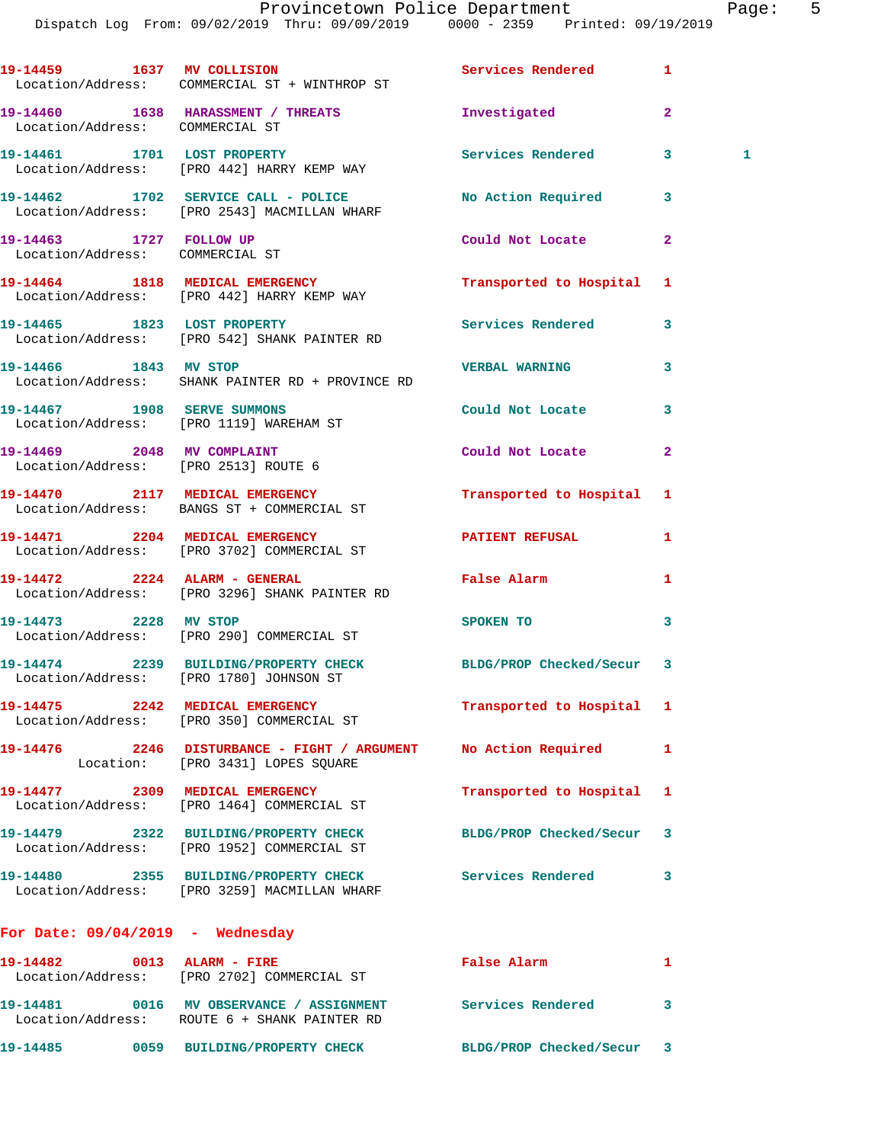Dispatch Log From: 09/02/2019 Thru: 09/09/2019 0000 - 2359 Printed: 09/19/2019 **19-14459 1637 MV COLLISION Services Rendered 1**  Location/Address: COMMERCIAL ST + WINTHROP ST **19-14460 1638 HARASSMENT / THREATS Investigated 2**  Location/Address: COMMERCIAL ST **19-14461 1701 LOST PROPERTY Services Rendered 3 1**  Location/Address: [PRO 442] HARRY KEMP WAY **19-14462 1702 SERVICE CALL - POLICE No Action Required 3**  Location/Address: [PRO 2543] MACMILLAN WHARF **19-14463 1727 FOLLOW UP Could Not Locate 2**  Location/Address: COMMERCIAL ST **19-14464 1818 MEDICAL EMERGENCY Transported to Hospital 1**  Location/Address: [PRO 442] HARRY KEMP WAY **19-14465 1823 LOST PROPERTY Services Rendered 3**  Location/Address: [PRO 542] SHANK PAINTER RD **19-14466 1843 MV STOP VERBAL WARNING 3**  Location/Address: SHANK PAINTER RD + PROVINCE RD **19-14467 1908 SERVE SUMMONS Could Not Locate 3**  Location/Address: [PRO 1119] WAREHAM ST **19-14469 2048 MV COMPLAINT Could Not Locate 2**  Location/Address: [PRO 2513] ROUTE 6 **19-14470 2117 MEDICAL EMERGENCY Transported to Hospital 1**  Location/Address: BANGS ST + COMMERCIAL ST **19-14471 2204 MEDICAL EMERGENCY PATIENT REFUSAL 1**  Location/Address: [PRO 3702] COMMERCIAL ST **19-14472 2224 ALARM - GENERAL False Alarm 1**  Location/Address: [PRO 3296] SHANK PAINTER RD **19-14473 2228 MV STOP SPOKEN TO 3**  Location/Address: [PRO 290] COMMERCIAL ST **19-14474 2239 BUILDING/PROPERTY CHECK BLDG/PROP Checked/Secur 3**  Location/Address: [PRO 1780] JOHNSON ST **19-14475 2242 MEDICAL EMERGENCY Transported to Hospital 1**  Location/Address: [PRO 350] COMMERCIAL ST **19-14476 2246 DISTURBANCE - FIGHT / ARGUMENT No Action Required 1**  Location: [PRO 3431] LOPES SQUARE **19-14477 2309 MEDICAL EMERGENCY Transported to Hospital 1**  Location/Address: [PRO 1464] COMMERCIAL ST **19-14479 2322 BUILDING/PROPERTY CHECK BLDG/PROP Checked/Secur 3**  Location/Address: [PRO 1952] COMMERCIAL ST **19-14480 2355 BUILDING/PROPERTY CHECK Services Rendered 3**  Location/Address: [PRO 3259] MACMILLAN WHARF **For Date: 09/04/2019 - Wednesday 19-14482 0013 ALARM - FIRE False Alarm 1**  Location/Address: [PRO 2702] COMMERCIAL ST

 Location/Address: ROUTE 6 + SHANK PAINTER RD **19-14485 0059 BUILDING/PROPERTY CHECK BLDG/PROP Checked/Secur 3** 

**19-14481 0016 MV OBSERVANCE / ASSIGNMENT Services Rendered 3**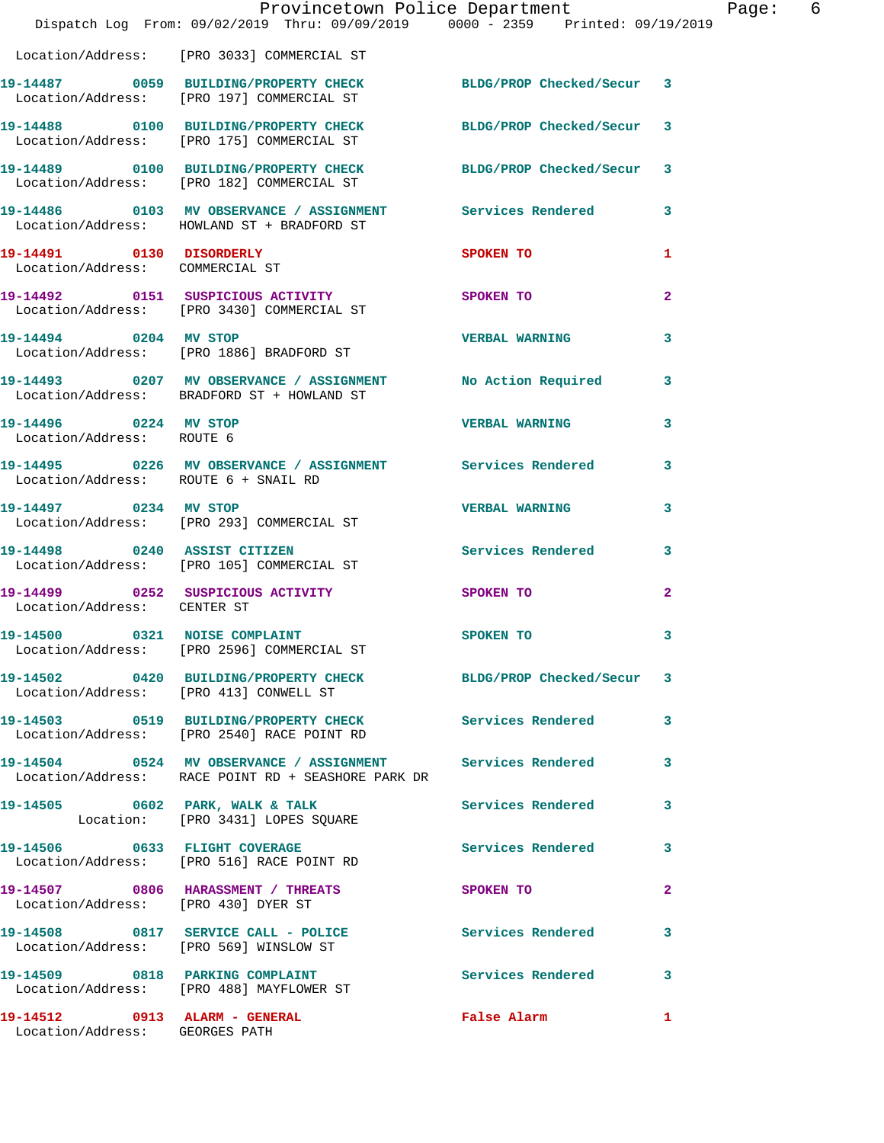|                                                                 | Provincetown Police Department<br>Dispatch Log From: 09/02/2019 Thru: 09/09/2019 0000 - 2359 Printed: 09/19/2019 |                          |                |
|-----------------------------------------------------------------|------------------------------------------------------------------------------------------------------------------|--------------------------|----------------|
|                                                                 | Location/Address: [PRO 3033] COMMERCIAL ST                                                                       |                          |                |
|                                                                 | 19-14487 0059 BUILDING/PROPERTY CHECK BLDG/PROP Checked/Secur<br>Location/Address: [PRO 197] COMMERCIAL ST       |                          | 3              |
|                                                                 | 19-14488 0100 BUILDING/PROPERTY CHECK BLDG/PROP Checked/Secur<br>Location/Address: [PRO 175] COMMERCIAL ST       |                          | 3              |
|                                                                 | 19-14489 0100 BUILDING/PROPERTY CHECK BLDG/PROP Checked/Secur<br>Location/Address: [PRO 182] COMMERCIAL ST       |                          | 3              |
|                                                                 | 19-14486  0103 MV OBSERVANCE / ASSIGNMENT Services Rendered<br>Location/Address: HOWLAND ST + BRADFORD ST        |                          | 3              |
| 19-14491 0130 DISORDERLY<br>Location/Address: COMMERCIAL ST     |                                                                                                                  | SPOKEN TO                | 1              |
|                                                                 | Location/Address: [PRO 3430] COMMERCIAL ST                                                                       | <b>SPOKEN TO</b>         | 2              |
| 19-14494 0204 MV STOP                                           | Location/Address: [PRO 1886] BRADFORD ST                                                                         | <b>VERBAL WARNING</b>    | 3              |
|                                                                 | 19-14493 0207 MV OBSERVANCE / ASSIGNMENT No Action Required<br>Location/Address: BRADFORD ST + HOWLAND ST        |                          | 3              |
| 19-14496 0224 MV STOP<br>Location/Address: ROUTE 6              |                                                                                                                  | <b>VERBAL WARNING</b>    | 3              |
| Location/Address: ROUTE 6 + SNAIL RD                            | 19-14495 0226 MV OBSERVANCE / ASSIGNMENT Services Rendered                                                       |                          | 3              |
|                                                                 | 19-14497 0234 MV STOP<br>Location/Address: [PRO 293] COMMERCIAL ST                                               | <b>VERBAL WARNING</b>    | 3              |
| 19-14498 0240 ASSIST CITIZEN                                    | Location/Address: [PRO 105] COMMERCIAL ST                                                                        | <b>Services Rendered</b> | 3              |
| Location/Address: CENTER ST                                     | 19-14499 0252 SUSPICIOUS ACTIVITY                                                                                | SPOKEN TO                | $\mathbf{2}$   |
| 19-14500                                                        | 0321 NOISE COMPLAINT<br>Location/Address: [PRO 2596] COMMERCIAL ST                                               | SPOKEN TO                | 3              |
| Location/Address: [PRO 413] CONWELL ST                          | 19-14502 0420 BUILDING/PROPERTY CHECK BLDG/PROP Checked/Secur                                                    |                          | 3              |
|                                                                 | 19-14503 0519 BUILDING/PROPERTY CHECK<br>Location/Address: [PRO 2540] RACE POINT RD                              | Services Rendered        | 3              |
|                                                                 | Location/Address: RACE POINT RD + SEASHORE PARK DR                                                               |                          | 3              |
|                                                                 | 19-14505 0602 PARK, WALK & TALK<br>Location: [PRO 3431] LOPES SQUARE                                             | <b>Services Rendered</b> | 3              |
|                                                                 | 19-14506 0633 FLIGHT COVERAGE<br>Location/Address: [PRO 516] RACE POINT RD                                       | <b>Services Rendered</b> | 3              |
| Location/Address: [PRO 430] DYER ST                             | 19-14507 0806 HARASSMENT / THREATS                                                                               | <b>SPOKEN TO</b>         | $\overline{a}$ |
| Location/Address: [PRO 569] WINSLOW ST                          | 19-14508 0817 SERVICE CALL - POLICE                                                                              | <b>Services Rendered</b> | 3              |
|                                                                 | 19-14509 0818 PARKING COMPLAINT<br>Location/Address: [PRO 488] MAYFLOWER ST                                      | Services Rendered        | 3              |
| 19-14512 0913 ALARM - GENERAL<br>Location/Address: GEORGES PATH |                                                                                                                  | False Alarm              | 1              |

Page: 6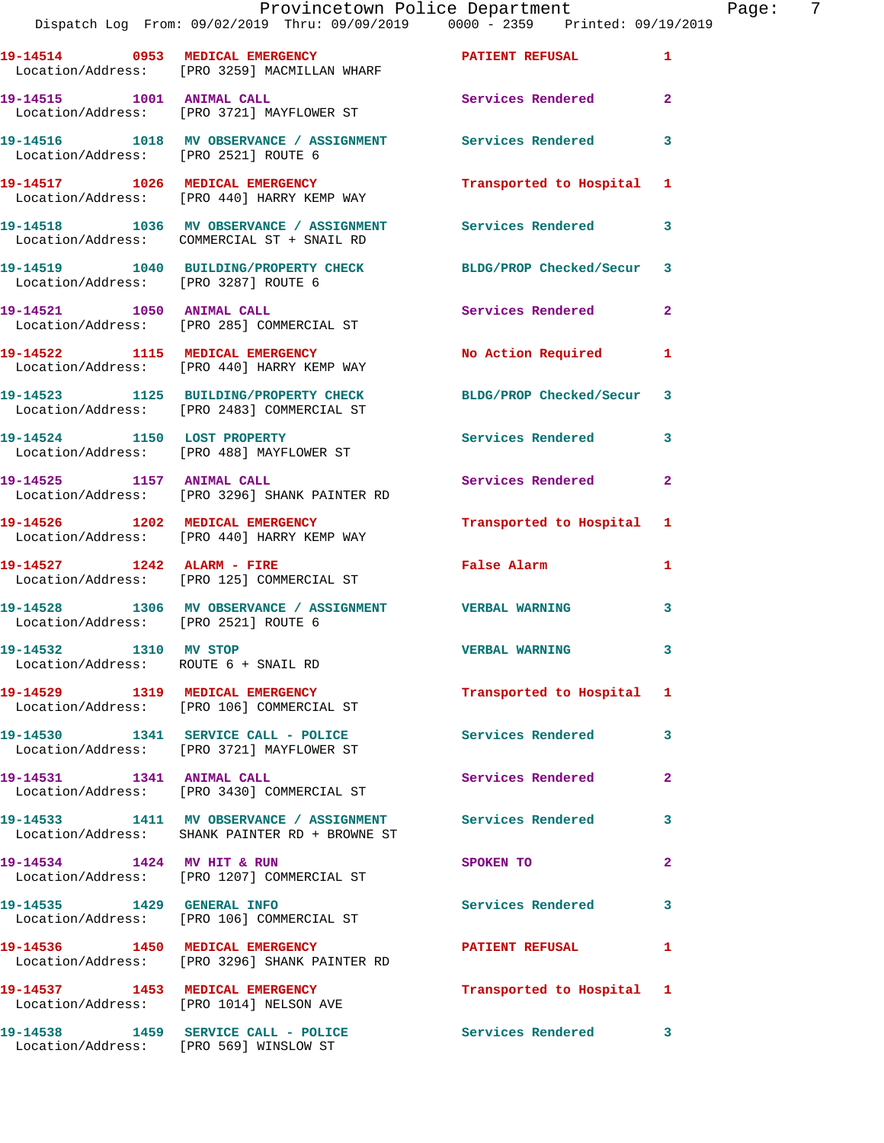|                                      | Provincetown Police Department<br>Dispatch Log From: 09/02/2019 Thru: 09/09/2019 0000 - 2359 Printed: 09/19/2019 |                          |                |
|--------------------------------------|------------------------------------------------------------------------------------------------------------------|--------------------------|----------------|
|                                      | Location/Address: [PRO 3259] MACMILLAN WHARF                                                                     |                          | $\mathbf{1}$   |
|                                      | 19-14515 1001 ANIMAL CALL<br>Location/Address: [PRO 3721] MAYFLOWER ST                                           | Services Rendered        | $\mathbf{2}$   |
| Location/Address: [PRO 2521] ROUTE 6 | 19-14516 1018 MV OBSERVANCE / ASSIGNMENT Services Rendered                                                       |                          | 3              |
|                                      | 19-14517 1026 MEDICAL EMERGENCY<br>Location/Address: [PRO 440] HARRY KEMP WAY                                    | Transported to Hospital  | 1              |
|                                      | 19-14518 1036 MV OBSERVANCE / ASSIGNMENT Services Rendered<br>Location/Address: COMMERCIAL ST + SNAIL RD         |                          | 3              |
| Location/Address: [PRO 3287] ROUTE 6 | 19-14519 1040 BUILDING/PROPERTY CHECK BLDG/PROP Checked/Secur                                                    |                          | 3              |
|                                      | 19-14521 1050 ANIMAL CALL<br>Location/Address: [PRO 285] COMMERCIAL ST                                           | <b>Services Rendered</b> | $\mathbf{2}$   |
|                                      | 19-14522 1115 MEDICAL EMERGENCY<br>Location/Address: [PRO 440] HARRY KEMP WAY                                    | No Action Required       | 1              |
|                                      | 19-14523 1125 BUILDING/PROPERTY CHECK<br>Location/Address: [PRO 2483] COMMERCIAL ST                              | BLDG/PROP Checked/Secur  | 3              |
|                                      | 19-14524 1150 LOST PROPERTY<br>Location/Address: [PRO 488] MAYFLOWER ST                                          | <b>Services Rendered</b> | 3              |
| 19-14525 1157 ANIMAL CALL            | Location/Address: [PRO 3296] SHANK PAINTER RD                                                                    | <b>Services Rendered</b> | $\overline{2}$ |
|                                      | 19-14526 1202 MEDICAL EMERGENCY<br>Location/Address: [PRO 440] HARRY KEMP WAY                                    | Transported to Hospital  | 1              |
| 19-14527 1242 ALARM - FIRE           | Location/Address: [PRO 125] COMMERCIAL ST                                                                        | <b>False Alarm</b>       | 1              |
| Location/Address: [PRO 2521] ROUTE 6 | 19-14528 1306 MV OBSERVANCE / ASSIGNMENT VERBAL WARNING                                                          |                          | 3              |

**19-14532 1310 MV STOP VERBAL WARNING 3**  Location/Address: ROUTE 6 + SNAIL RD

Location/Address: [PRO 106] COMMERCIAL ST

**19-14531 1341 ANIMAL CALL Services Rendered 2**  Location/Address: [PRO 3430] COMMERCIAL ST

**19-14533 1411 MV OBSERVANCE / ASSIGNMENT Services Rendered 3**  Location/Address: SHANK PAINTER RD + BROWNE ST

Location/Address: [PRO 3296] SHANK PAINTER RD

**19-14538 1459 SERVICE CALL - POLICE Services Rendered 3** 

**19-14530 1341 SERVICE CALL - POLICE Services Rendered 3**  Location/Address: [PRO 3721] MAYFLOWER ST

Location/Address: [PRO 1207] COMMERCIAL ST

Location/Address: [PRO 106] COMMERCIAL ST

**19-14536 1450 MEDICAL EMERGENCY PATIENT REFUSAL 1** 

**19-14537 1453 MEDICAL EMERGENCY Transported to Hospital 1**  Location/Address: [PRO 1014] NELSON AVE

Location/Address: [PRO 569] WINSLOW ST

**19-14529 1319 MEDICAL EMERGENCY Transported to Hospital 1** 

**19-14534 1424 MV HIT & RUN SPOKEN TO 2** 

**19-14535 1429 GENERAL INFO Services Rendered 3** 

Page:  $7<sub>q</sub>$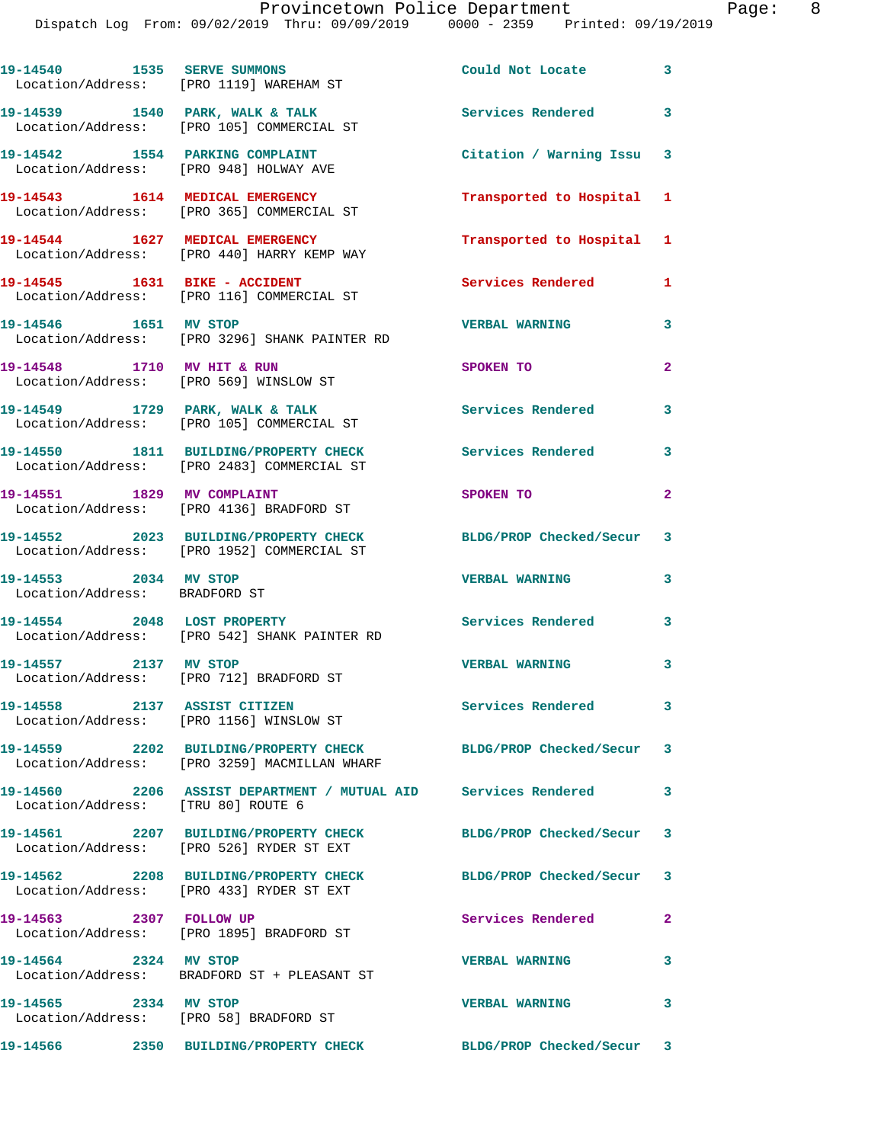|                                                        | 19-14540 1535 SERVE SUMMONS<br>Location/Address: [PRO 1119] WAREHAM ST                                          | Could Not Locate 3        |                         |
|--------------------------------------------------------|-----------------------------------------------------------------------------------------------------------------|---------------------------|-------------------------|
|                                                        | 19-14539 1540 PARK, WALK & TALK<br>Location/Address: [PRO 105] COMMERCIAL ST                                    | Services Rendered 3       |                         |
| 19-14542 1554 PARKING COMPLAINT                        | Location/Address: [PRO 948] HOLWAY AVE                                                                          | Citation / Warning Issu 3 |                         |
|                                                        | 19-14543 1614 MEDICAL EMERGENCY<br>Location/Address: [PRO 365] COMMERCIAL ST                                    | Transported to Hospital 1 |                         |
| 19-14544 1627 MEDICAL EMERGENCY                        | Location/Address: [PRO 440] HARRY KEMP WAY                                                                      | Transported to Hospital 1 |                         |
|                                                        | 19-14545   1631   BIKE - ACCIDENT<br>Location/Address: [PRO 116] COMMERCIAL ST                                  | Services Rendered 1       |                         |
| 19-14546   1651   MV STOP                              | Location/Address: [PRO 3296] SHANK PAINTER RD                                                                   | <b>VERBAL WARNING</b>     | 3                       |
| 19-14548 1710 MV HIT & RUN                             | Location/Address: [PRO 569] WINSLOW ST                                                                          | SPOKEN TO                 | $\overline{2}$          |
|                                                        | 19-14549 1729 PARK, WALK & TALK<br>Location/Address: [PRO 105] COMMERCIAL ST                                    | <b>Services Rendered</b>  | 3                       |
|                                                        | 19-14550 1811 BUILDING/PROPERTY CHECK<br>Location/Address: [PRO 2483] COMMERCIAL ST                             | <b>Services Rendered</b>  | 3                       |
|                                                        | 19-14551 1829 MV COMPLAINT<br>Location/Address: [PRO 4136] BRADFORD ST                                          | SPOKEN TO                 | $\overline{a}$          |
|                                                        | 19-14552 2023 BUILDING/PROPERTY CHECK<br>Location/Address: [PRO 1952] COMMERCIAL ST                             | BLDG/PROP Checked/Secur 3 |                         |
| 19-14553 2034 MV STOP<br>Location/Address: BRADFORD ST |                                                                                                                 | <b>VERBAL WARNING</b>     | 3                       |
| 19-14554 2048 LOST PROPERTY                            | Location/Address: [PRO 542] SHANK PAINTER RD                                                                    | <b>Services Rendered</b>  | 3                       |
| 19-14557 2137 MV STOP                                  | Location/Address: [PRO 712] BRADFORD ST                                                                         | <b>VERBAL WARNING</b>     | $\overline{\mathbf{3}}$ |
| 19-14558 2137 ASSIST CITIZEN                           | Location/Address: [PRO 1156] WINSLOW ST                                                                         | Services Rendered         | $\sim$ 3                |
|                                                        | 19-14559 2202 BUILDING/PROPERTY CHECK BLDG/PROP Checked/Secur 3<br>Location/Address: [PRO 3259] MACMILLAN WHARF |                           |                         |
| Location/Address: [TRU 80] ROUTE 6                     | 19-14560 2206 ASSIST DEPARTMENT / MUTUAL AID Services Rendered                                                  |                           | 3                       |
|                                                        | 19-14561 2207 BUILDING/PROPERTY CHECK<br>Location/Address: [PRO 526] RYDER ST EXT                               | BLDG/PROP Checked/Secur 3 |                         |
|                                                        | 19-14562 2208 BUILDING/PROPERTY CHECK<br>Location/Address: [PRO 433] RYDER ST EXT                               | BLDG/PROP Checked/Secur 3 |                         |
| 19-14563 2307 FOLLOW UP                                | Location/Address: [PRO 1895] BRADFORD ST                                                                        | Services Rendered         | $\mathbf{2}$            |
| 19-14564 2324 MV STOP                                  | Location/Address: BRADFORD ST + PLEASANT ST                                                                     | <b>VERBAL WARNING</b>     | 3                       |
| 19-14565 2334 MV STOP                                  | Location/Address: [PRO 58] BRADFORD ST                                                                          | <b>VERBAL WARNING</b>     | 3                       |
|                                                        | 19-14566 2350 BUILDING/PROPERTY CHECK                                                                           | BLDG/PROP Checked/Secur 3 |                         |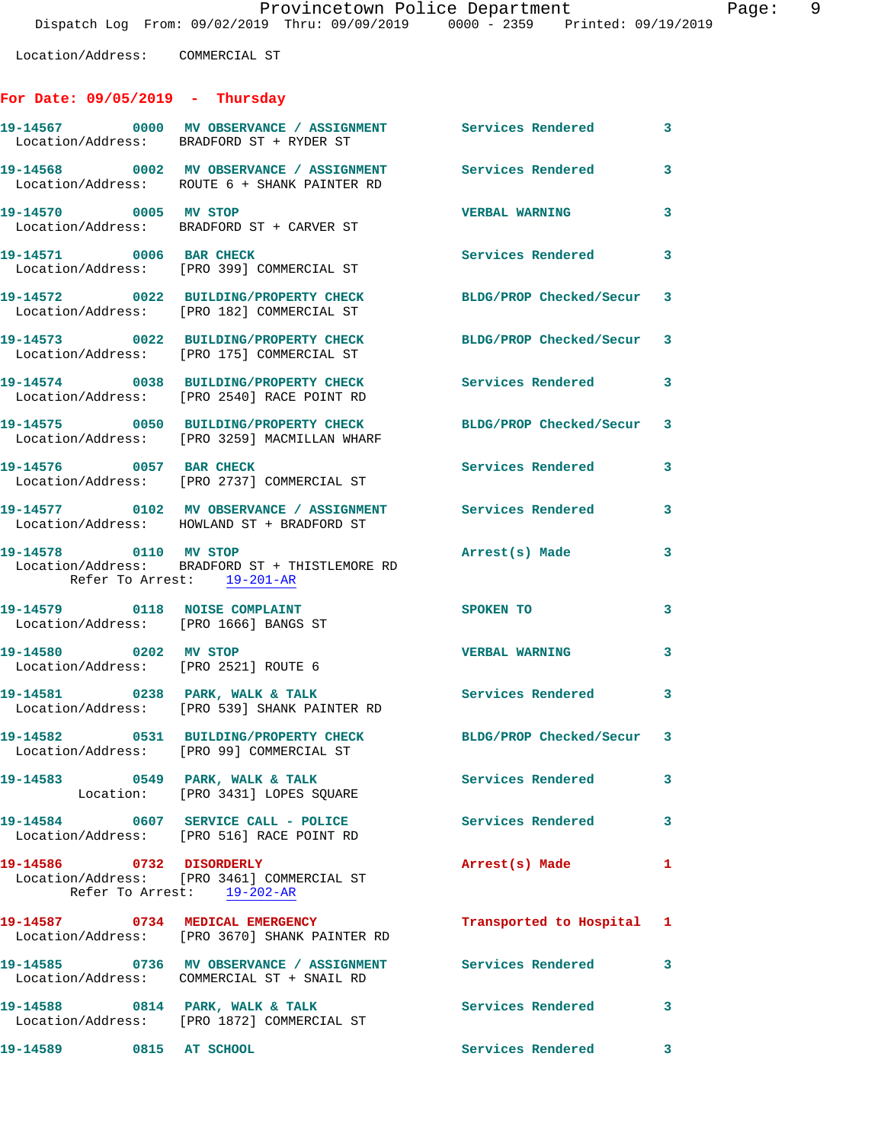## **For Date: 09/05/2019 - Thursday**

|                                                                        | 19-14567 0000 MV OBSERVANCE / ASSIGNMENT Services Rendered<br>Location/Address: BRADFORD ST + RYDER ST       |                           | 3 <sup>7</sup> |
|------------------------------------------------------------------------|--------------------------------------------------------------------------------------------------------------|---------------------------|----------------|
|                                                                        | 19-14568 0002 MV OBSERVANCE / ASSIGNMENT Services Rendered 3<br>Location/Address: ROUTE 6 + SHANK PAINTER RD |                           |                |
| 19-14570 0005 MV STOP                                                  | Location/Address: BRADFORD ST + CARVER ST                                                                    | <b>VERBAL WARNING</b>     | 3              |
| 19-14571 0006 BAR CHECK                                                | Location/Address: [PRO 399] COMMERCIAL ST                                                                    | Services Rendered 3       |                |
|                                                                        | 19-14572 0022 BUILDING/PROPERTY CHECK<br>Location/Address: [PRO 182] COMMERCIAL ST                           | BLDG/PROP Checked/Secur 3 |                |
|                                                                        | 19-14573 0022 BUILDING/PROPERTY CHECK<br>Location/Address: [PRO 175] COMMERCIAL ST                           | BLDG/PROP Checked/Secur 3 |                |
|                                                                        | 19-14574 0038 BUILDING/PROPERTY CHECK<br>Location/Address: [PRO 2540] RACE POINT RD                          | Services Rendered         | $\mathbf{3}$   |
|                                                                        | 19-14575 0050 BUILDING/PROPERTY CHECK<br>Location/Address: [PRO 3259] MACMILLAN WHARF                        | BLDG/PROP Checked/Secur 3 |                |
| 19-14576 0057 BAR CHECK                                                | Location/Address: [PRO 2737] COMMERCIAL ST                                                                   | <b>Services Rendered</b>  | 3              |
|                                                                        | 19-14577 0102 MV OBSERVANCE / ASSIGNMENT Services Rendered<br>Location/Address: HOWLAND ST + BRADFORD ST     |                           | 3              |
| 19-14578 0110 MV STOP                                                  | Location/Address: BRADFORD ST + THISTLEMORE RD<br>Refer To Arrest: 19-201-AR                                 | Arrest(s) Made            | 3              |
| 19-14579 0118 NOISE COMPLAINT<br>Location/Address: [PRO 1666] BANGS ST |                                                                                                              | SPOKEN TO                 | 3              |
| 19-14580 0202 MV STOP<br>Location/Address: [PRO 2521] ROUTE 6          |                                                                                                              | <b>VERBAL WARNING</b>     | $\mathbf{3}$   |
|                                                                        | 19-14581 0238 PARK, WALK & TALK<br>Location/Address: [PRO 539] SHANK PAINTER RD                              | <b>Services Rendered</b>  | $\mathbf{3}$   |
|                                                                        | 19-14582 0531 BUILDING/PROPERTY CHECK<br>Location/Address: [PRO 99] COMMERCIAL ST                            | BLDG/PROP Checked/Secur 3 |                |
| 19-14583 0549 PARK, WALK & TALK                                        | Location: [PRO 3431] LOPES SQUARE                                                                            | Services Rendered         | 3              |
|                                                                        | 19-14584 0607 SERVICE CALL - POLICE<br>Location/Address: [PRO 516] RACE POINT RD                             | <b>Services Rendered</b>  | 3              |
| 19-14586 0732 DISORDERLY                                               | Location/Address: [PRO 3461] COMMERCIAL ST<br>Refer To Arrest: 19-202-AR                                     | Arrest(s) Made            | 1              |
| 19-14587 0734 MEDICAL EMERGENCY                                        | Location/Address: [PRO 3670] SHANK PAINTER RD                                                                | Transported to Hospital 1 |                |
|                                                                        | 19-14585 0736 MV OBSERVANCE / ASSIGNMENT Services Rendered<br>Location/Address: COMMERCIAL ST + SNAIL RD     |                           | 3              |
| 19-14588 0814 PARK, WALK & TALK                                        | Location/Address: [PRO 1872] COMMERCIAL ST                                                                   | Services Rendered         | 3              |
| 19-14589 0815 AT SCHOOL                                                |                                                                                                              | Services Rendered         | 3              |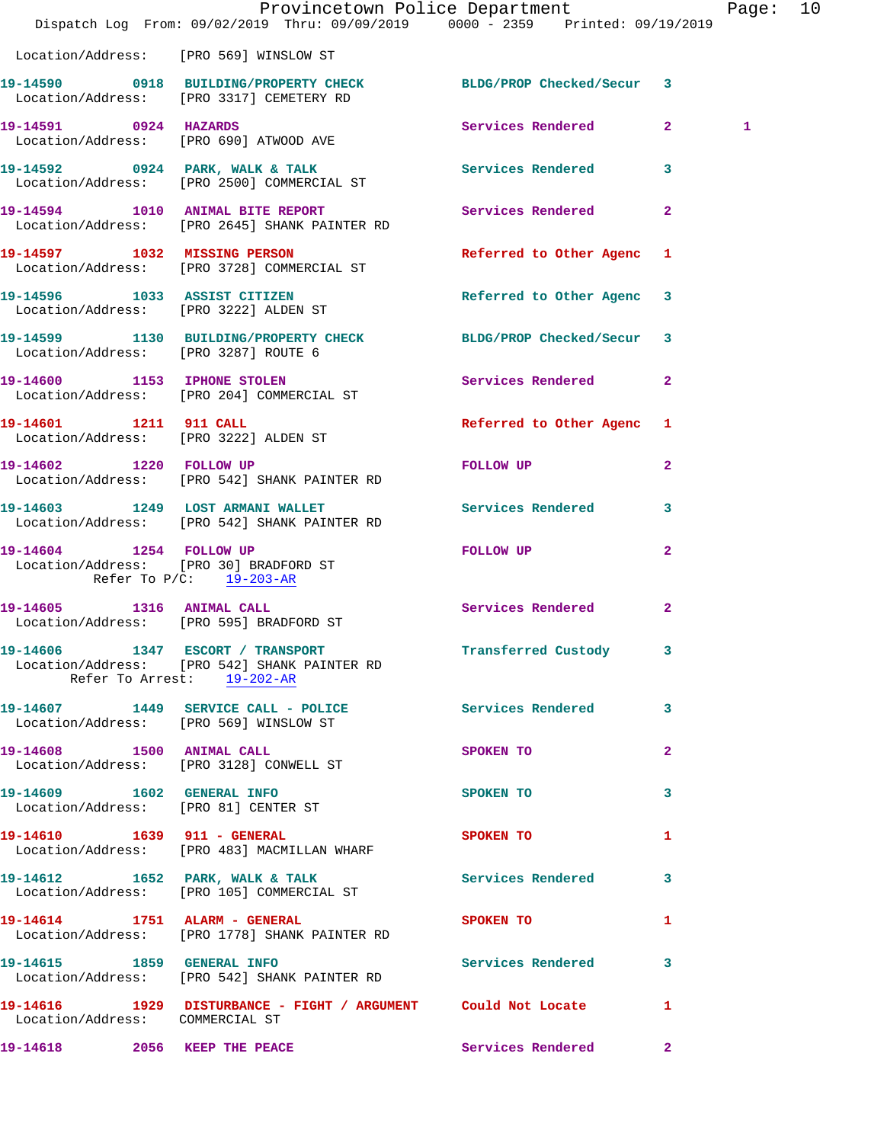|                                        | Provincetown Police Department Page: 10<br>Dispatch Log From: 09/02/2019 Thru: 09/09/2019 0000 - 2359 Printed: 09/19/2019 |                           |                         |   |  |
|----------------------------------------|---------------------------------------------------------------------------------------------------------------------------|---------------------------|-------------------------|---|--|
|                                        | Location/Address: [PRO 569] WINSLOW ST                                                                                    |                           |                         |   |  |
|                                        | 19-14590 0918 BUILDING/PROPERTY CHECK BLDG/PROP Checked/Secur 3<br>Location/Address: [PRO 3317] CEMETERY RD               |                           |                         |   |  |
|                                        | 19-14591 0924 HAZARDS<br>Location/Address: [PRO 690] ATWOOD AVE                                                           | Services Rendered 2       |                         | 1 |  |
|                                        | 19-14592 0924 PARK, WALK & TALK STREET SERVICES Rendered 3<br>Location/Address: [PRO 2500] COMMERCIAL ST                  |                           |                         |   |  |
|                                        | 19-14594 1010 ANIMAL BITE REPORT Services Rendered 2<br>Location/Address: [PRO 2645] SHANK PAINTER RD                     |                           |                         |   |  |
|                                        | 19-14597 1032 MISSING PERSON<br>Location/Address: [PRO 3728] COMMERCIAL ST                                                | Referred to Other Agenc 1 |                         |   |  |
|                                        | 19-14596 1033 ASSIST CITIZEN<br>Location/Address: [PRO 3222] ALDEN ST                                                     | Referred to Other Agenc 3 |                         |   |  |
|                                        | 19-14599 1130 BUILDING/PROPERTY CHECK BLDG/PROP Checked/Secur 3<br>Location/Address: [PRO 3287] ROUTE 6                   |                           |                         |   |  |
|                                        | 19-14600 1153 IPHONE STOLEN<br>Location/Address: [PRO 204] COMMERCIAL ST                                                  | Services Rendered 2       |                         |   |  |
| 19-14601 1211 911 CALL                 | Location/Address: [PRO 3222] ALDEN ST                                                                                     | Referred to Other Agenc 1 |                         |   |  |
|                                        | 19-14602 1220 FOLLOW UP<br>Location/Address: [PRO 542] SHANK PAINTER RD                                                   | <b>FOLLOW UP</b>          | $\mathbf{2}$            |   |  |
|                                        | 19-14603 1249 LOST ARMANI WALLET<br>Location/Address: [PRO 542] SHANK PAINTER RD                                          | Services Rendered         | $\overline{\mathbf{3}}$ |   |  |
| Location/Address: [PRO 30] BRADFORD ST | 19-14604 1254 FOLLOW UP<br>Refer To $P/C$ : $19-203-AR$                                                                   | FOLLOW UP                 | $\mathbf{2}$            |   |  |
|                                        | 19-14605 1316 ANIMAL CALL<br>Location/Address: [PRO 595] BRADFORD ST                                                      | Services Rendered         | $\mathbf{2}$            |   |  |
|                                        | 19-14606 1347 ESCORT / TRANSPORT<br>Location/Address: [PRO 542] SHANK PAINTER RD<br>Refer To Arrest: 19-202-AR            | Transferred Custody       |                         |   |  |
|                                        | 19-14607 1449 SERVICE CALL - POLICE Services Rendered 3<br>Location/Address: [PRO 569] WINSLOW ST                         |                           |                         |   |  |
|                                        | 19-14608 1500 ANIMAL CALL<br>Location/Address: [PRO 3128] CONWELL ST                                                      | SPOKEN TO                 | $\mathbf{2}$            |   |  |
|                                        | 19-14609    1602    GENERAL INFO<br>Location/Address: [PRO 81] CENTER ST                                                  | SPOKEN TO                 | 3                       |   |  |
|                                        | 19-14610 1639 911 - GENERAL<br>Location/Address: [PRO 483] MACMILLAN WHARF                                                | <b>SPOKEN TO</b>          | $\mathbf{1}$            |   |  |
|                                        | 19-14612 1652 PARK, WALK & TALK Services Rendered 3<br>Location/Address: [PRO 105] COMMERCIAL ST                          |                           |                         |   |  |
| 19-14614 1751 ALARM - GENERAL          | Location/Address: [PRO 1778] SHANK PAINTER RD                                                                             | SPOKEN TO                 | -1                      |   |  |
|                                        | 19-14615 1859 GENERAL INFO<br>Location/Address: [PRO 542] SHANK PAINTER RD                                                | Services Rendered 3       |                         |   |  |
| Location/Address: COMMERCIAL ST        | 19-14616 1929 DISTURBANCE - FIGHT / ARGUMENT Could Not Locate 1                                                           |                           |                         |   |  |
| 19-14618 2056 KEEP THE PEACE           |                                                                                                                           | Services Rendered 2       |                         |   |  |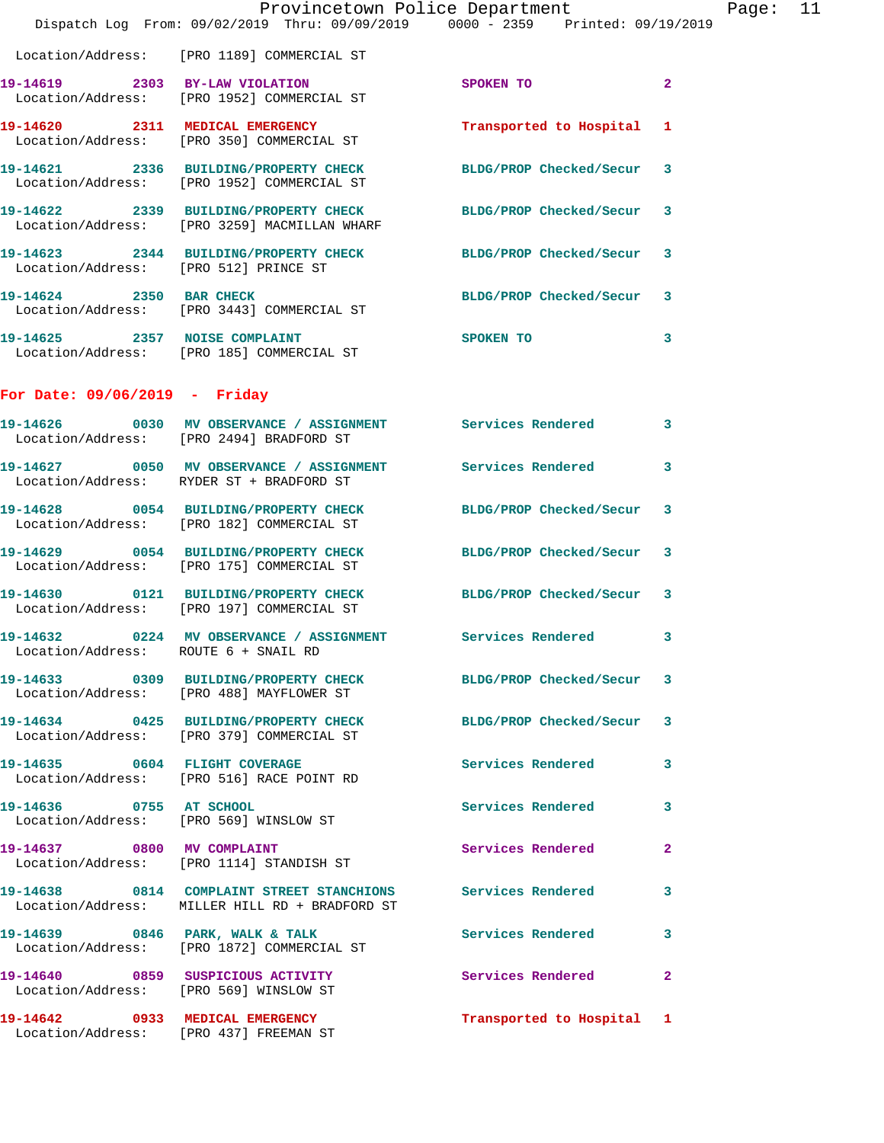|                                        | Dispatch Log From: 09/02/2019 Thru: 09/09/2019 0000 - 2359 Printed: 09/19/2019                                  | Provincetown Police Department | Page: 11       |  |
|----------------------------------------|-----------------------------------------------------------------------------------------------------------------|--------------------------------|----------------|--|
|                                        | Location/Address: [PRO 1189] COMMERCIAL ST                                                                      |                                |                |  |
|                                        | 19-14619 2303 BY-LAW VIOLATION<br>Location/Address: [PRO 1952] COMMERCIAL ST                                    | SPOKEN TO                      | $\overline{2}$ |  |
|                                        | 19-14620 2311 MEDICAL EMERGENCY Transported to Hospital 1<br>Location/Address: [PRO 350] COMMERCIAL ST          |                                |                |  |
|                                        | 19-14621 2336 BUILDING/PROPERTY CHECK<br>Location/Address: [PRO 1952] COMMERCIAL ST                             | BLDG/PROP Checked/Secur 3      |                |  |
|                                        | 19-14622 2339 BUILDING/PROPERTY CHECK BLDG/PROP Checked/Secur 3<br>Location/Address: [PRO 3259] MACMILLAN WHARF |                                |                |  |
|                                        | 19-14623 2344 BUILDING/PROPERTY CHECK BLDG/PROP Checked/Secur $\,$ 3 Location/Address: [PRO 512] PRINCE ST      |                                |                |  |
| 19-14624 2350 BAR CHECK                | Location/Address: [PRO 3443] COMMERCIAL ST                                                                      | BLDG/PROP Checked/Secur 3      |                |  |
|                                        | 19-14625 2357 NOISE COMPLAINT<br>Location/Address: [PRO 185] COMMERCIAL ST                                      | <b>SPOKEN TO</b>               | $\mathbf{3}$   |  |
| For Date: $09/06/2019$ - Friday        |                                                                                                                 |                                |                |  |
|                                        | 19-14626 0030 MV OBSERVANCE / ASSIGNMENT Services Rendered 3<br>Location/Address: [PRO 2494] BRADFORD ST        |                                |                |  |
|                                        | 19-14627 0050 MV OBSERVANCE / ASSIGNMENT Services Rendered 3<br>Location/Address: RYDER ST + BRADFORD ST        |                                |                |  |
|                                        | 19-14628 0054 BUILDING/PROPERTY CHECK BLDG/PROP Checked/Secur 3<br>Location/Address: [PRO 182] COMMERCIAL ST    |                                |                |  |
|                                        | 19-14629 0054 BUILDING/PROPERTY CHECK<br>Location/Address: [PRO 175] COMMERCIAL ST                              | BLDG/PROP Checked/Secur 3      |                |  |
|                                        | 19-14630 0121 BUILDING/PROPERTY CHECK BLDG/PROP Checked/Secur 3<br>Location/Address: [PRO 197] COMMERCIAL ST    |                                |                |  |
| Location/Address: ROUTE 6 + SNAIL RD   | 19-14632  0224 MV OBSERVANCE / ASSIGNMENT Services Rendered 3                                                   |                                |                |  |
|                                        | 19-14633 0309 BUILDING/PROPERTY CHECK BLDG/PROP Checked/Secur 3<br>Location/Address: [PRO 488] MAYFLOWER ST     |                                |                |  |
|                                        | 19-14634 0425 BUILDING/PROPERTY CHECK BLDG/PROP Checked/Secur 3<br>Location/Address: [PRO 379] COMMERCIAL ST    |                                |                |  |
|                                        | 19-14635 0604 FLIGHT COVERAGE<br>Location/Address: [PRO 516] RACE POINT RD                                      | Services Rendered 3            |                |  |
| 19-14636 0755 AT SCHOOL                | Location/Address: [PRO 569] WINSLOW ST                                                                          | Services Rendered 3            |                |  |
|                                        | 19-14637 0800 MV COMPLAINT<br>Location/Address: [PRO 1114] STANDISH ST                                          | Services Rendered              | $\mathbf{2}$   |  |
|                                        | 19-14638 0814 COMPLAINT STREET STANCHIONS Services Rendered<br>Location/Address: MILLER HILL RD + BRADFORD ST   |                                | 3              |  |
|                                        | 19-14639 0846 PARK, WALK & TALK<br>Location/Address: [PRO 1872] COMMERCIAL ST                                   | Services Rendered 3            |                |  |
| Location/Address: [PRO 569] WINSLOW ST | 19-14640 0859 SUSPICIOUS ACTIVITY                                                                               | Services Rendered              | $\mathbf{2}$   |  |
|                                        | 19-14642 0933 MEDICAL EMERGENCY<br>Location/Address: [PRO 437] FREEMAN ST                                       | Transported to Hospital 1      |                |  |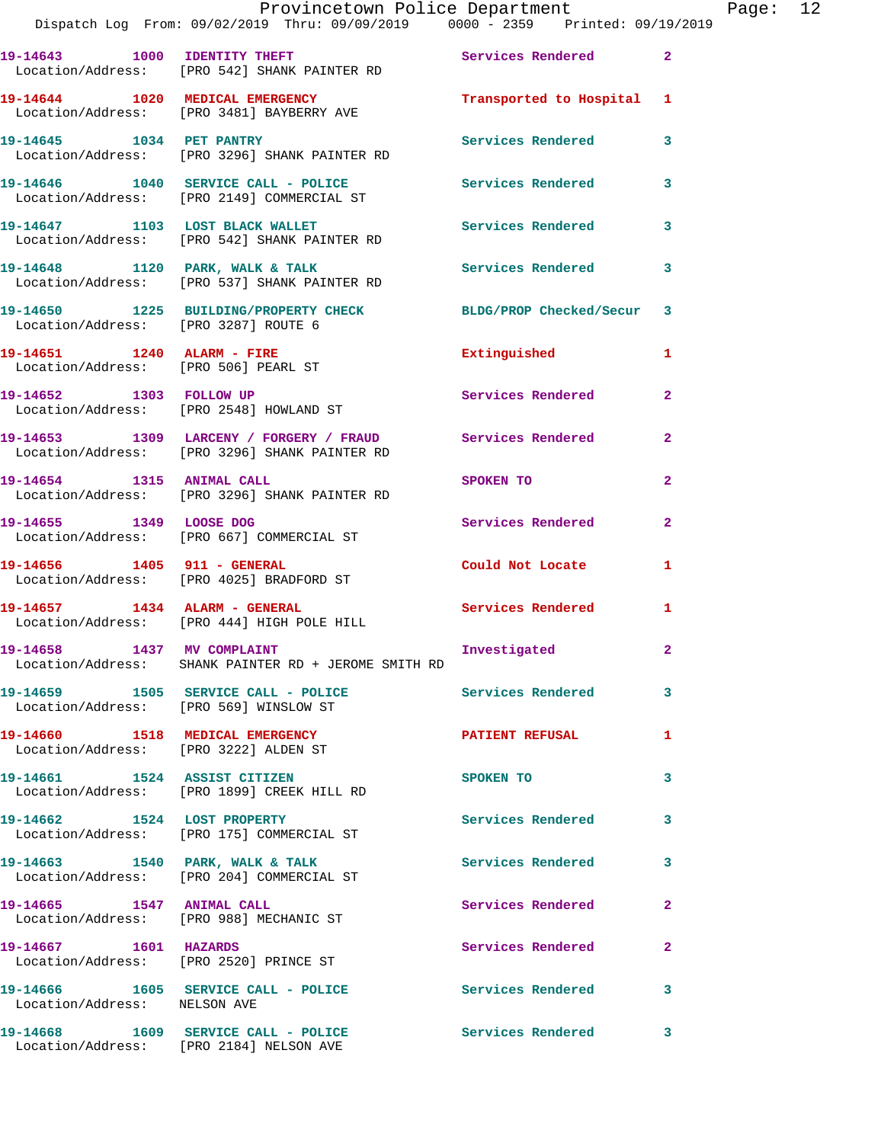|                                      | Provincetown Police Department Fage: 12<br>Dispatch Log From: 09/02/2019 Thru: 09/09/2019 0000 - 2359 Printed: 09/19/2019 |                                                                                                               |                |  |
|--------------------------------------|---------------------------------------------------------------------------------------------------------------------------|---------------------------------------------------------------------------------------------------------------|----------------|--|
|                                      | 19-14643 1000 IDENTITY THEFT Services Rendered 2<br>Location/Address: [PRO 542] SHANK PAINTER RD                          |                                                                                                               |                |  |
|                                      | 19-14644 1020 MEDICAL EMERGENCY Transported to Hospital 1<br>Location/Address: [PRO 3481] BAYBERRY AVE                    |                                                                                                               |                |  |
|                                      | 19-14645 1034 PET PANTRY<br>Location/Address: [PRO 3296] SHANK PAINTER RD                                                 | Services Rendered                                                                                             | $\mathbf{3}$   |  |
|                                      | 19-14646 1040 SERVICE CALL - POLICE Services Rendered<br>Location/Address: [PRO 2149] COMMERCIAL ST                       |                                                                                                               | $\mathbf{3}$   |  |
|                                      | 19-14647 1103 LOST BLACK WALLET<br>Location/Address: [PRO 542] SHANK PAINTER RD                                           | Services Rendered 3                                                                                           |                |  |
|                                      | 19-14648 1120 PARK, WALK & TALK 1998 Services Rendered<br>Location/Address: [PRO 537] SHANK PAINTER RD                    |                                                                                                               | 3              |  |
| Location/Address: [PRO 3287] ROUTE 6 | 19-14650 1225 BUILDING/PROPERTY CHECK BLDG/PROP Checked/Secur 3                                                           |                                                                                                               |                |  |
| Location/Address: [PRO 506] PEARL ST | 19-14651 1240 ALARM - FIRE                                                                                                | Extinguished                                                                                                  | 1              |  |
|                                      | 19-14652 1303 FOLLOW UP<br>Location/Address: [PRO 2548] HOWLAND ST                                                        | Services Rendered 2                                                                                           |                |  |
|                                      | 19-14653 1309 LARCENY / FORGERY / FRAUD Services Rendered<br>Location/Address: [PRO 3296] SHANK PAINTER RD                |                                                                                                               | $\mathbf{2}$   |  |
| 19-14654 1315 ANIMAL CALL            | Location/Address: [PRO 3296] SHANK PAINTER RD                                                                             | SPOKEN TO AND TO A STATE OF THE STATE OF THE STATE OF THE STATE OF THE STATE OF THE STATE OF THE STATE OF THE | $\overline{2}$ |  |
|                                      | 19-14655 1349 LOOSE DOG<br>Location/Address: [PRO 667] COMMERCIAL ST                                                      | Services Rendered                                                                                             | $\overline{2}$ |  |
| 19-14656 1405 911 - GENERAL          | Location/Address: [PRO 4025] BRADFORD ST                                                                                  | Could Not Locate                                                                                              | 1.             |  |
|                                      | 19-14657 1434 ALARM - GENERAL<br>Location/Address: [PRO 444] HIGH POLE HILL                                               | Services Rendered 1                                                                                           |                |  |
| 19-14658 1437 MV COMPLAINT           | Location/Address: SHANK PAINTER RD + JEROME SMITH RD                                                                      | Investigated                                                                                                  |                |  |
|                                      | 19-14659 1505 SERVICE CALL - POLICE 2007 Services Rendered<br>Location/Address: [PRO 569] WINSLOW ST                      |                                                                                                               | 3              |  |
| 19-14660 1518 MEDICAL EMERGENCY      | Location/Address: [PRO 3222] ALDEN ST                                                                                     | <b>PATIENT REFUSAL</b>                                                                                        | 1              |  |
|                                      | 19-14661 1524 ASSIST CITIZEN<br>Location/Address: [PRO 1899] CREEK HILL RD                                                | SPOKEN TO                                                                                                     | 3              |  |
| 19-14662 1524 LOST PROPERTY          | Location/Address: [PRO 175] COMMERCIAL ST                                                                                 | <b>Services Rendered</b>                                                                                      | 3              |  |
|                                      | 19-14663 1540 PARK, WALK & TALK<br>Location/Address: [PRO 204] COMMERCIAL ST                                              | Services Rendered                                                                                             | 3              |  |
| 19-14665 1547 ANIMAL CALL            | Location/Address: [PRO 988] MECHANIC ST                                                                                   | Services Rendered                                                                                             | $\mathbf{2}$   |  |
| 19-14667 1601 HAZARDS                | Location/Address: [PRO 2520] PRINCE ST                                                                                    | Services Rendered                                                                                             | 2              |  |
| Location/Address: NELSON AVE         | 19-14666 1605 SERVICE CALL - POLICE 1997 Services Rendered                                                                |                                                                                                               | 3              |  |
|                                      | 19-14668 1609 SERVICE CALL - POLICE                       Services Rendered                                               |                                                                                                               | $\mathbf{3}$   |  |

Location/Address: [PRO 2184] NELSON AVE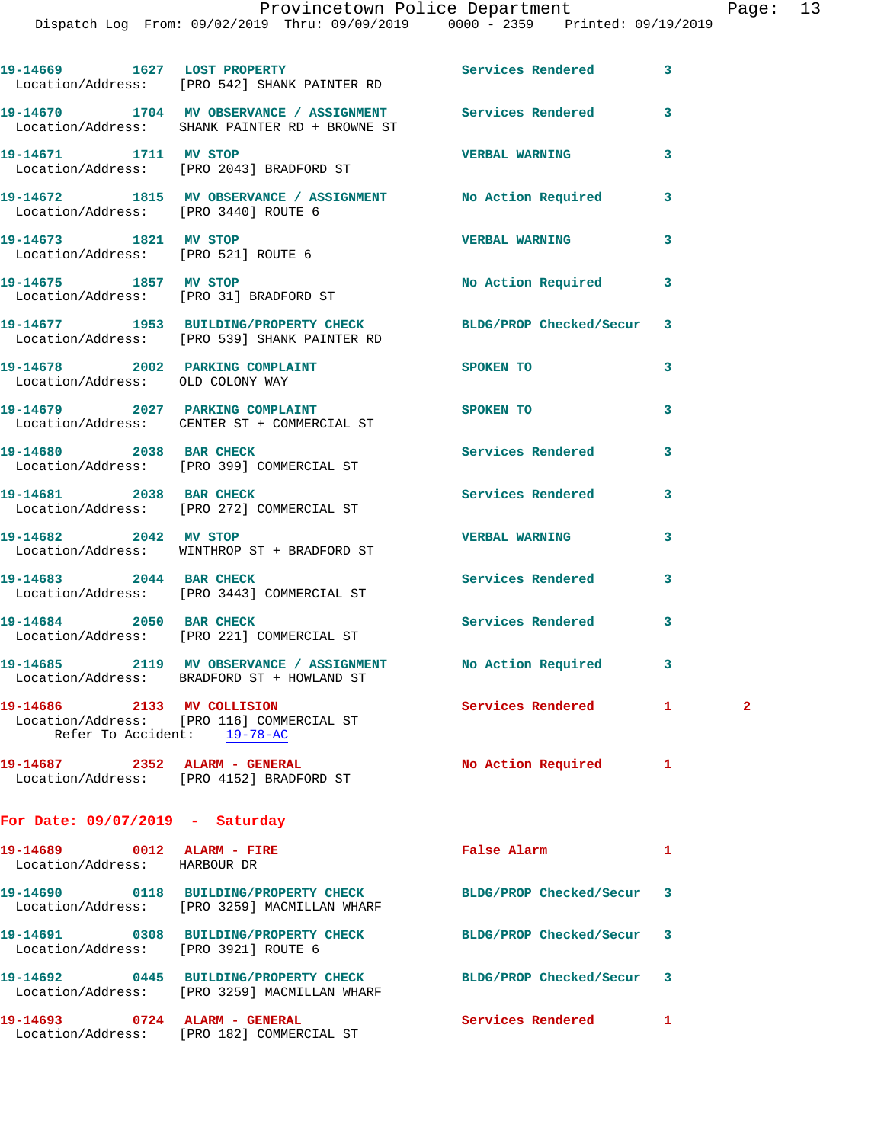|                                                                     | 19-14669 1627 LOST PROPERTY<br>Location/Address: [PRO 542] SHANK PAINTER RD                                  | Services Rendered       | 3                             |  |
|---------------------------------------------------------------------|--------------------------------------------------------------------------------------------------------------|-------------------------|-------------------------------|--|
|                                                                     | 19-14670 1704 MV OBSERVANCE / ASSIGNMENT Services Rendered<br>Location/Address: SHANK PAINTER RD + BROWNE ST |                         | 3                             |  |
| 19-14671 1711 MV STOP                                               | Location/Address: [PRO 2043] BRADFORD ST                                                                     | <b>VERBAL WARNING</b>   | 3                             |  |
| Location/Address: [PRO 3440] ROUTE 6                                | 19-14672 1815 MV OBSERVANCE / ASSIGNMENT                                                                     | No Action Required      | 3                             |  |
| 19-14673 1821 MV STOP<br>Location/Address: [PRO 521] ROUTE 6        |                                                                                                              | <b>VERBAL WARNING</b>   | 3                             |  |
| 19-14675 1857 MV STOP                                               | Location/Address: [PRO 31] BRADFORD ST                                                                       | No Action Required      | 3                             |  |
|                                                                     | 19-14677 1953 BUILDING/PROPERTY CHECK<br>Location/Address: [PRO 539] SHANK PAINTER RD                        | BLDG/PROP Checked/Secur | 3                             |  |
| 19-14678 2002 PARKING COMPLAINT<br>Location/Address: OLD COLONY WAY |                                                                                                              | SPOKEN TO               | 3                             |  |
|                                                                     | 19-14679 2027 PARKING COMPLAINT<br>Location/Address: CENTER ST + COMMERCIAL ST                               | SPOKEN TO               | 3                             |  |
| 19-14680 2038 BAR CHECK                                             | Location/Address: [PRO 399] COMMERCIAL ST                                                                    | Services Rendered       | 3                             |  |
|                                                                     | 19-14681 2038 BAR CHECK<br>Location/Address: [PRO 272] COMMERCIAL ST                                         | Services Rendered       | 3                             |  |
| 19-14682 2042 MV STOP                                               | Location/Address: WINTHROP ST + BRADFORD ST                                                                  | <b>VERBAL WARNING</b>   | 3                             |  |
|                                                                     | 19-14683 2044 BAR CHECK<br>Location/Address: [PRO 3443] COMMERCIAL ST                                        | Services Rendered       | 3                             |  |
| 19-14684 2050 BAR CHECK                                             | Location/Address: [PRO 221] COMMERCIAL ST                                                                    | Services Rendered       | 3                             |  |
|                                                                     | 19-14685 2119 MV OBSERVANCE / ASSIGNMENT<br>Location/Address: BRADFORD ST + HOWLAND ST                       | No Action Required      | 3                             |  |
| 19-14686 2133 MV COLLISION                                          | Location/Address: [PRO 116] COMMERCIAL ST<br>Refer To Accident: 19-78-AC                                     | Services Rendered       | $\mathbf{1}$ and $\mathbf{1}$ |  |
| 19-14687 2352 ALARM - GENERAL                                       | Location/Address: [PRO 4152] BRADFORD ST                                                                     | No Action Required      | 1                             |  |
| For Date: $09/07/2019$ - Saturday                                   |                                                                                                              |                         |                               |  |
| 19-14689 0012 ALARM - FIRE<br>Location/Address: HARBOUR DR          |                                                                                                              | <b>False Alarm</b>      | 1                             |  |
|                                                                     | 19-14690 0118 BUILDING/PROPERTY CHECK<br>Location/Address: [PRO 3259] MACMILLAN WHARF                        | BLDG/PROP Checked/Secur | 3                             |  |
| Location/Address: [PRO 3921] ROUTE 6                                | 19-14691 0308 BUILDING/PROPERTY CHECK                                                                        | BLDG/PROP Checked/Secur | 3                             |  |
|                                                                     | 19-14692 0445 BUILDING/PROPERTY CHECK<br>Location/Address: [PRO 3259] MACMILLAN WHARF                        | BLDG/PROP Checked/Secur | 3                             |  |

**19-14693 0724 ALARM - GENERAL Services Rendered 1**  Location/Address: [PRO 182] COMMERCIAL ST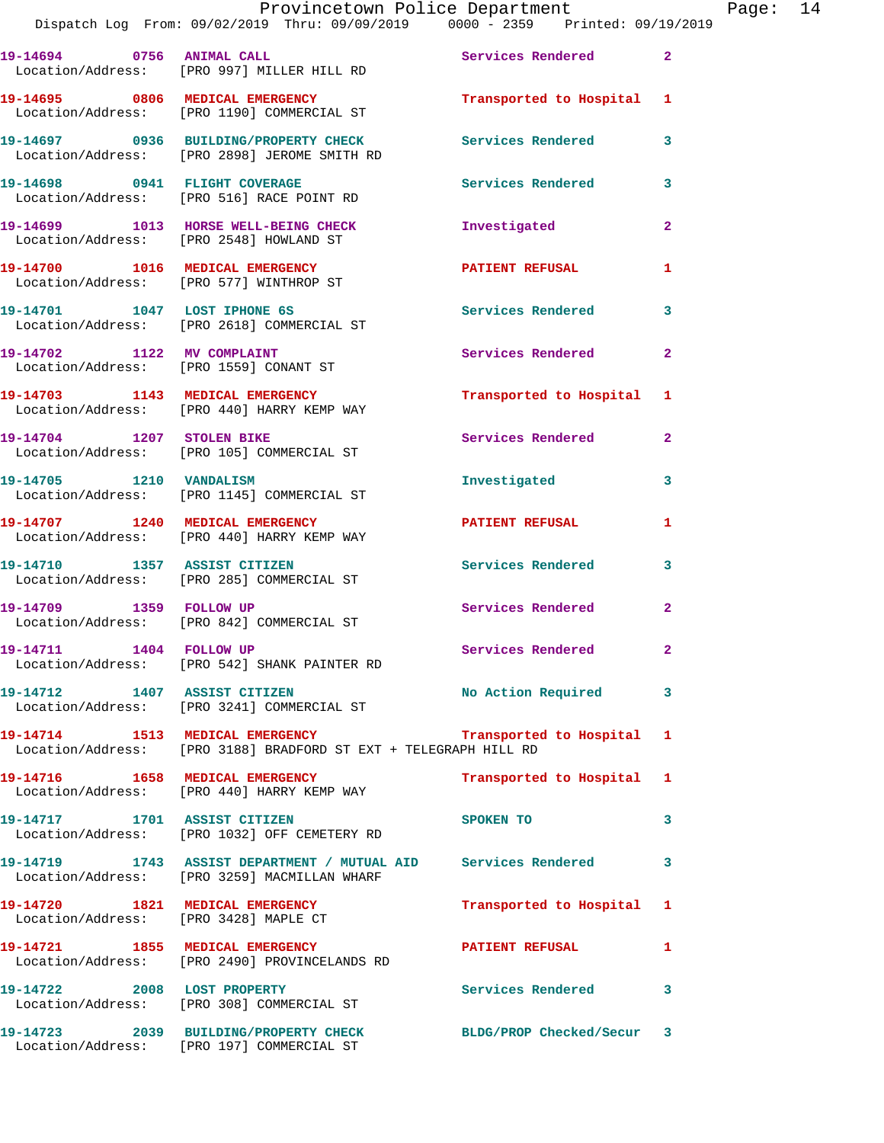| 19-14694 0756 ANIMAL CALL                                            | Location/Address: [PRO 997] MILLER HILL RD                                                                                      | Services Rendered 2       |                |
|----------------------------------------------------------------------|---------------------------------------------------------------------------------------------------------------------------------|---------------------------|----------------|
|                                                                      | 19-14695 0806 MEDICAL EMERGENCY<br>Location/Address: [PRO 1190] COMMERCIAL ST                                                   | Transported to Hospital 1 |                |
|                                                                      | 19-14697 0936 BUILDING/PROPERTY CHECK<br>Location/Address: [PRO 2898] JEROME SMITH RD                                           | <b>Services Rendered</b>  | 3              |
|                                                                      | 19-14698 0941 FLIGHT COVERAGE<br>Location/Address: [PRO 516] RACE POINT RD                                                      | Services Rendered         | 3              |
|                                                                      | 19-14699 1013 HORSE WELL-BEING CHECK<br>Location/Address: [PRO 2548] HOWLAND ST                                                 | Investigated              | $\overline{2}$ |
|                                                                      | 19-14700 1016 MEDICAL EMERGENCY<br>Location/Address: [PRO 577] WINTHROP ST                                                      | <b>PATIENT REFUSAL</b>    | $\mathbf{1}$   |
| 19-14701 1047 LOST IPHONE 6S                                         | Location/Address: [PRO 2618] COMMERCIAL ST                                                                                      | <b>Services Rendered</b>  | 3              |
| 19-14702 1122 MV COMPLAINT<br>Location/Address: [PRO 1559] CONANT ST |                                                                                                                                 | Services Rendered         | $\overline{2}$ |
|                                                                      | 19-14703 1143 MEDICAL EMERGENCY<br>Location/Address: [PRO 440] HARRY KEMP WAY                                                   | Transported to Hospital 1 |                |
| 19-14704 1207 STOLEN BIKE                                            | Location/Address: [PRO 105] COMMERCIAL ST                                                                                       | Services Rendered         | $\mathbf{2}$   |
| 19-14705 1210 VANDALISM                                              | Location/Address: [PRO 1145] COMMERCIAL ST                                                                                      | Investigated              | 3              |
| 19-14707 1240 MEDICAL EMERGENCY                                      | Location/Address: [PRO 440] HARRY KEMP WAY                                                                                      | <b>PATIENT REFUSAL</b>    | 1.             |
| 19-14710 1357 ASSIST CITIZEN                                         | Location/Address: [PRO 285] COMMERCIAL ST                                                                                       | Services Rendered         | 3              |
| 19-14709 1359 FOLLOW UP                                              | Location/Address: [PRO 842] COMMERCIAL ST                                                                                       | Services Rendered         | $\mathbf{2}$   |
| 19-14711 1404 FOLLOW UP                                              | Location/Address: [PRO 542] SHANK PAINTER RD                                                                                    | Services Rendered 2       |                |
| 19-14712 1407 ASSIST CITIZEN                                         | Location/Address: [PRO 3241] COMMERCIAL ST                                                                                      | No Action Required        |                |
|                                                                      | 19-14714 1513 MEDICAL EMERGENCY 1 Transported to Hospital 1<br>Location/Address: [PRO 3188] BRADFORD ST EXT + TELEGRAPH HILL RD |                           |                |
|                                                                      | 19-14716 1658 MEDICAL EMERGENCY<br>Location/Address: [PRO 440] HARRY KEMP WAY                                                   | Transported to Hospital 1 |                |
| 19-14717 1701 ASSIST CITIZEN                                         | Location/Address: [PRO 1032] OFF CEMETERY RD                                                                                    | SPOKEN TO                 | 3              |
|                                                                      | 19-14719 1743 ASSIST DEPARTMENT / MUTUAL AID Services Rendered<br>Location/Address: [PRO 3259] MACMILLAN WHARF                  |                           | 3              |
| Location/Address: [PRO 3428] MAPLE CT                                | 19-14720 1821 MEDICAL EMERGENCY                                                                                                 | Transported to Hospital 1 |                |
| 19-14721 1855 MEDICAL EMERGENCY                                      | Location/Address: [PRO 2490] PROVINCELANDS RD                                                                                   | PATIENT REFUSAL 1         |                |
|                                                                      | 19-14722 2008 LOST PROPERTY<br>Location/Address: [PRO 308] COMMERCIAL ST                                                        | <b>Services Rendered</b>  | 3              |
|                                                                      | 19-14723 2039 BUILDING/PROPERTY CHECK<br>Location/Address: [PRO 197] COMMERCIAL ST                                              | BLDG/PROP Checked/Secur 3 |                |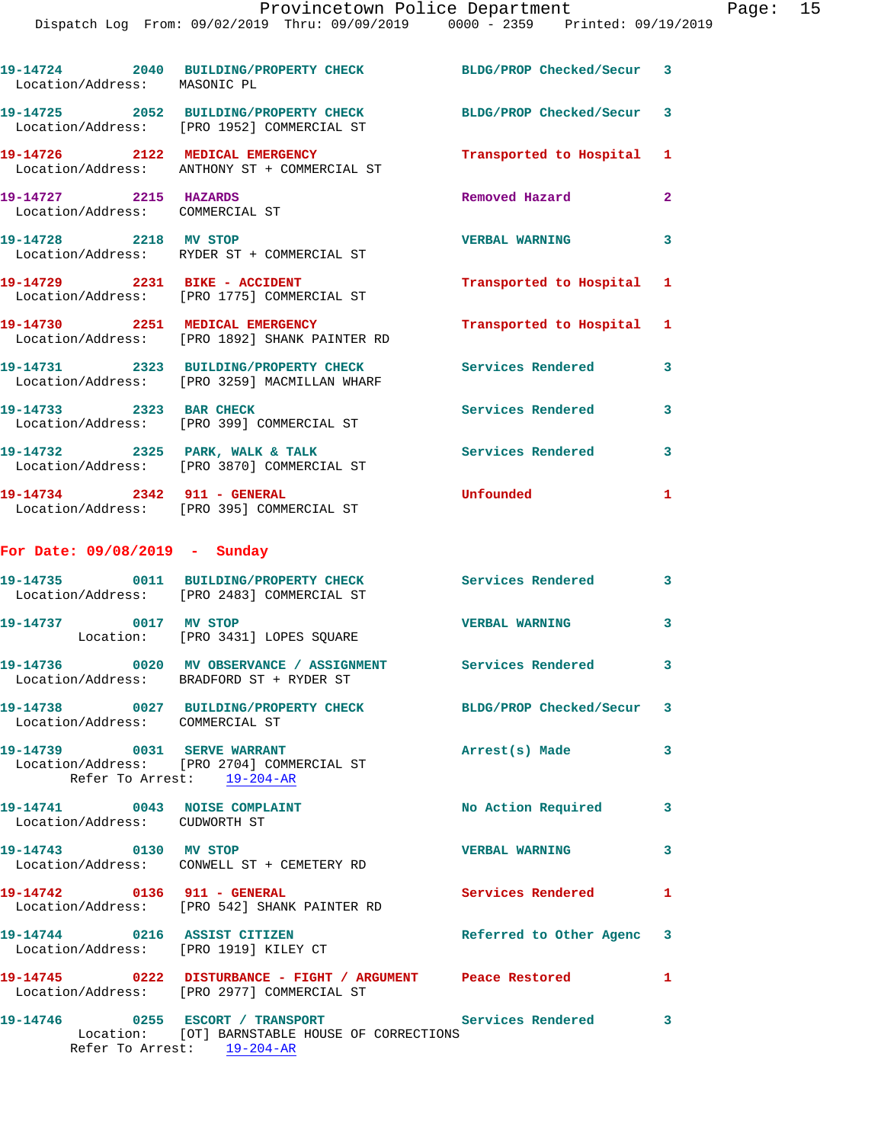Dispatch Log From: 09/02/2019 Thru: 09/09/2019 0000 - 2359 Printed: 09/19/2019

| Location/Address: MASONIC PL                                   | 19-14724 2040 BUILDING/PROPERTY CHECK                                                                     | BLDG/PROP Checked/Secur 3 |                |
|----------------------------------------------------------------|-----------------------------------------------------------------------------------------------------------|---------------------------|----------------|
|                                                                | 19-14725 2052 BUILDING/PROPERTY CHECK<br>Location/Address: [PRO 1952] COMMERCIAL ST                       | BLDG/PROP Checked/Secur 3 |                |
|                                                                | 19-14726 2122 MEDICAL EMERGENCY<br>Location/Address: ANTHONY ST + COMMERCIAL ST                           | Transported to Hospital 1 |                |
| 19-14727 2215 HAZARDS<br>Location/Address: COMMERCIAL ST       |                                                                                                           | Removed Hazard            | $\overline{2}$ |
| 19-14728 2218 MV STOP                                          | Location/Address: RYDER ST + COMMERCIAL ST                                                                | <b>VERBAL WARNING</b>     | 3              |
|                                                                | 19-14729 2231 BIKE - ACCIDENT<br>Location/Address: [PRO 1775] COMMERCIAL ST                               | Transported to Hospital 1 |                |
|                                                                | 19-14730 2251 MEDICAL EMERGENCY<br>Location/Address: [PRO 1892] SHANK PAINTER RD                          | Transported to Hospital 1 |                |
|                                                                | 19-14731 2323 BUILDING/PROPERTY CHECK<br>Location/Address: [PRO 3259] MACMILLAN WHARF                     | <b>Services Rendered</b>  | 3              |
| 19-14733 2323 BAR CHECK                                        | Location/Address: [PRO 399] COMMERCIAL ST                                                                 | <b>Services Rendered</b>  | 3              |
|                                                                | 19-14732 2325 PARK, WALK & TALK<br>Location/Address: [PRO 3870] COMMERCIAL ST                             | <b>Services Rendered</b>  | 3              |
| 19-14734 2342 911 - GENERAL                                    | Location/Address: [PRO 395] COMMERCIAL ST                                                                 | Unfounded                 | $\mathbf{1}$   |
| For Date: $09/08/2019$ - Sunday                                |                                                                                                           |                           |                |
|                                                                | 19-14735 0011 BUILDING/PROPERTY CHECK<br>Location/Address: [PRO 2483] COMMERCIAL ST                       | Services Rendered         | 3              |
| 19-14737 0017 MV STOP                                          | Location: [PRO 3431] LOPES SQUARE                                                                         | <b>VERBAL WARNING</b>     | 3              |
|                                                                | 19-14736 0020 MV OBSERVANCE / ASSIGNMENT<br>Location/Address: BRADFORD ST + RYDER ST                      | Services Rendered 3       |                |
| Location/Address: COMMERCIAL ST                                | 19-14738 0027 BUILDING/PROPERTY CHECK BLDG/PROP Checked/Secur 3                                           |                           |                |
|                                                                | 19-14739 0031 SERVE WARRANT<br>Location/Address: [PRO 2704] COMMERCIAL ST<br>Refer To Arrest: 19-204-AR   | Arrest(s) Made            | $\mathbf{3}$   |
| 19-14741 0043 NOISE COMPLAINT<br>Location/Address: CUDWORTH ST |                                                                                                           | No Action Required 3      |                |
| 19-14743 0130 MV STOP                                          | Location/Address: CONWELL ST + CEMETERY RD                                                                | <b>VERBAL WARNING</b>     | 3              |
|                                                                | 19-14742 0136 911 - GENERAL<br>Location/Address: [PRO 542] SHANK PAINTER RD                               | <b>Services Rendered</b>  | $\mathbf{1}$   |
|                                                                | 19-14744 0216 ASSIST CITIZEN<br>Location/Address: [PRO 1919] KILEY CT                                     | Referred to Other Agenc 3 |                |
|                                                                | 19-14745 0222 DISTURBANCE - FIGHT / ARGUMENT Peace Restored<br>Location/Address: [PRO 2977] COMMERCIAL ST |                           | $\mathbf{1}$   |
|                                                                | 19-14746 0255 ESCORT / TRANSPORT Services Rendered 3<br>Location: [OT] BARNSTABLE HOUSE OF CORRECTIONS    |                           |                |
|                                                                | Refer To Arrest: 19-204-AR                                                                                |                           |                |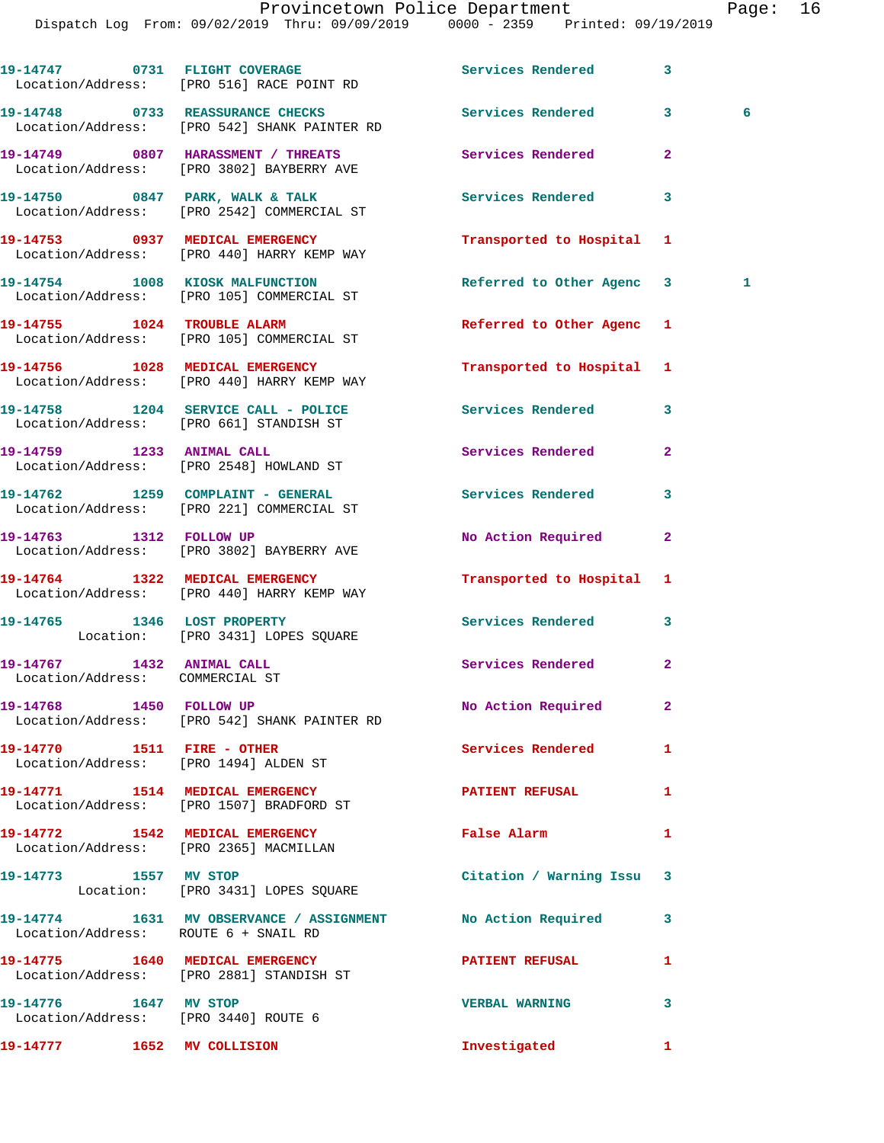Dispatch Log From: 09/02/2019 Thru: 09/09/2019 0000 - 2359 Printed: 09/19/2019 19-14747 0731 FLIGHT COVERAGE **Services Rendered** 3 Location/Address **19-14748 0733 REASSURANCE CHECKS Services Rendered 3 6**  Location/Addres **19-14749 0807 HARASSMENT / THREATS Services Rendered 2**  Location/Addres

Location/Address: [PRO 2881] STANDISH ST

Location/Address: [PRO 3440] ROUTE 6

|                                                                           | Location/Address: [PRO 516] RACE POINT RD                                                         |                           |                         |              |
|---------------------------------------------------------------------------|---------------------------------------------------------------------------------------------------|---------------------------|-------------------------|--------------|
|                                                                           | 19-14748 0733 REASSURANCE CHECKS<br>Location/Address: [PRO 542] SHANK PAINTER RD                  | <b>Services Rendered</b>  | $3^{\circ}$<br>$\sim$ 6 |              |
|                                                                           | 19-14749 0807 HARASSMENT / THREATS Services Rendered<br>Location/Address: [PRO 3802] BAYBERRY AVE |                           | $\mathbf{2}$            |              |
|                                                                           | 19-14750 0847 PARK, WALK & TALK<br>Location/Address: [PRO 2542] COMMERCIAL ST                     | Services Rendered         | 3                       |              |
|                                                                           | 19-14753 0937 MEDICAL EMERGENCY<br>Location/Address: [PRO 440] HARRY KEMP WAY                     | Transported to Hospital   | 1                       |              |
|                                                                           | 19-14754 1008 KIOSK MALFUNCTION<br>Location/Address: [PRO 105] COMMERCIAL ST                      | Referred to Other Agenc   | 3                       | $\mathbf{1}$ |
|                                                                           | 19-14755 1024 TROUBLE ALARM<br>Location/Address: [PRO 105] COMMERCIAL ST                          | Referred to Other Agenc   | 1                       |              |
|                                                                           | 19-14756 1028 MEDICAL EMERGENCY<br>Location/Address: [PRO 440] HARRY KEMP WAY                     | Transported to Hospital   | 1                       |              |
|                                                                           | 19-14758 1204 SERVICE CALL - POLICE<br>Location/Address: [PRO 661] STANDISH ST                    | Services Rendered         | 3                       |              |
|                                                                           | 19-14759 1233 ANIMAL CALL<br>Location/Address: [PRO 2548] HOWLAND ST                              | Services Rendered         | $\overline{2}$          |              |
|                                                                           | 19-14762 1259 COMPLAINT - GENERAL<br>Location/Address: [PRO 221] COMMERCIAL ST                    | <b>Services Rendered</b>  | 3                       |              |
|                                                                           | 19-14763 1312 FOLLOW UP<br>Location/Address: [PRO 3802] BAYBERRY AVE                              | No Action Required        | $\mathbf{2}$            |              |
|                                                                           | 19-14764 1322 MEDICAL EMERGENCY<br>Location/Address: [PRO 440] HARRY KEMP WAY                     | Transported to Hospital 1 |                         |              |
|                                                                           | 19-14765 1346 LOST PROPERTY<br>Location: [PRO 3431] LOPES SQUARE                                  | Services Rendered         | 3                       |              |
| 19-14767 1432 ANIMAL CALL<br>Location/Address: COMMERCIAL ST              |                                                                                                   | Services Rendered         | $\overline{2}$          |              |
|                                                                           | 19-14768 1450 FOLLOW UP<br>Location/Address: [PRO 542] SHANK PAINTER RD                           | No Action Required        | $\mathbf{2}$            |              |
| 19-14770    1511    FIRE - OTHER<br>Location/Address: [PRO 1494] ALDEN ST |                                                                                                   | <b>Services Rendered</b>  | 1                       |              |
|                                                                           | 19-14771 1514 MEDICAL EMERGENCY<br>Location/Address: [PRO 1507] BRADFORD ST                       | <b>PATIENT REFUSAL</b>    | 1                       |              |
| Location/Address: [PRO 2365] MACMILLAN                                    | 19-14772 1542 MEDICAL EMERGENCY                                                                   | False Alarm               | 1                       |              |
| 19-14773 1557 MV STOP                                                     | Location: [PRO 3431] LOPES SQUARE                                                                 | Citation / Warning Issu   | 3                       |              |
| Location/Address: ROUTE 6 + SNAIL RD                                      | 19-14774 1631 MV OBSERVANCE / ASSIGNMENT No Action Required                                       |                           | 3                       |              |

19-14775 1640 MEDICAL EMERGENCY PATIENT REFUSAL 1 **19-14776 1647 MV STOP VERBAL WARNING 3 19-14777 1652 MV COLLISION Investigated 1**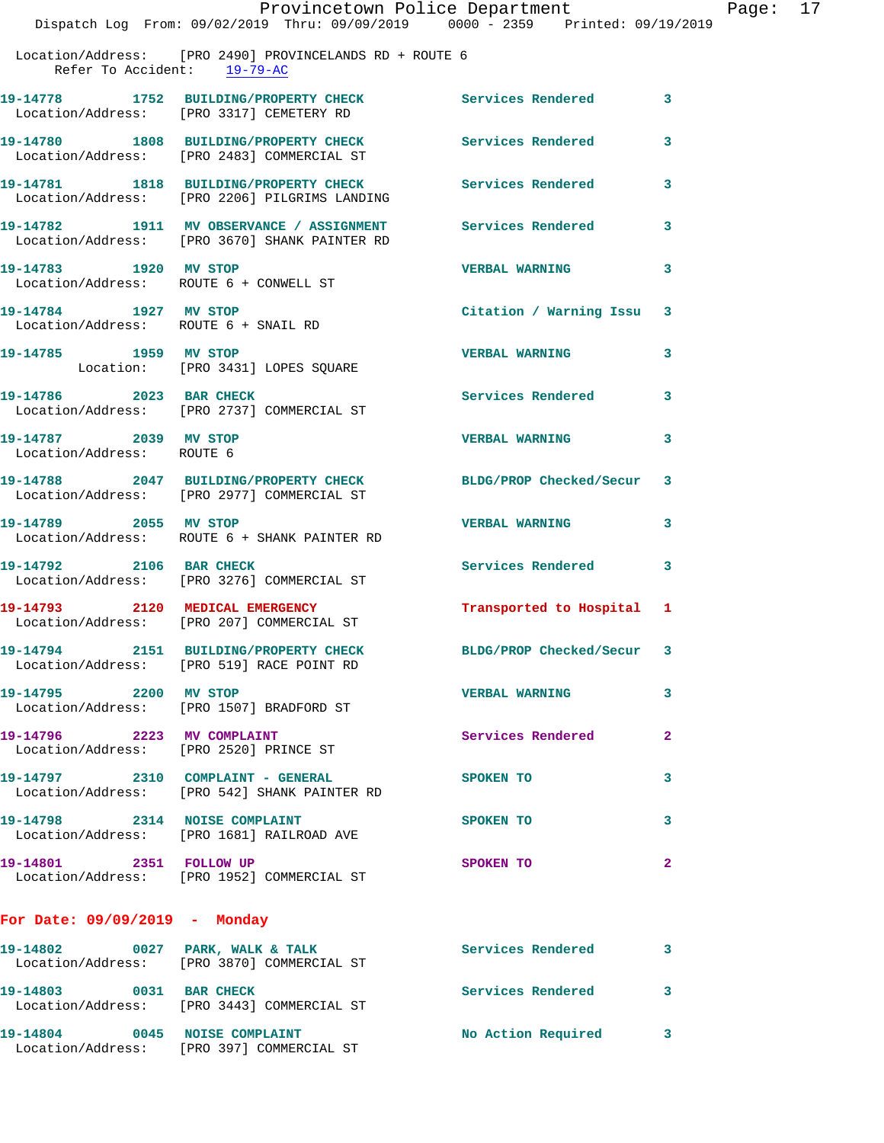|                                                               | Provincetown Police Department<br>Dispatch Log From: 09/02/2019 Thru: 09/09/2019 0000 - 2359 Printed: 09/19/2019 |                          |              |
|---------------------------------------------------------------|------------------------------------------------------------------------------------------------------------------|--------------------------|--------------|
|                                                               | Location/Address: [PRO 2490] PROVINCELANDS RD + ROUTE 6<br>Refer To Accident: 19-79-AC                           |                          |              |
|                                                               | 19-14778 1752 BUILDING/PROPERTY CHECK<br>Location/Address: [PRO 3317] CEMETERY RD                                | <b>Services Rendered</b> | 3            |
|                                                               | 19-14780 1808 BUILDING/PROPERTY CHECK Services Rendered<br>Location/Address: [PRO 2483] COMMERCIAL ST            |                          | 3            |
|                                                               | 19-14781 1818 BUILDING/PROPERTY CHECK<br>Location/Address: [PRO 2206] PILGRIMS LANDING                           | <b>Services Rendered</b> | 3            |
|                                                               | 19-14782 1911 MV OBSERVANCE / ASSIGNMENT Services Rendered<br>Location/Address: [PRO 3670] SHANK PAINTER RD      |                          | 3            |
| 19-14783 1920 MV STOP                                         | Location/Address: ROUTE 6 + CONWELL ST                                                                           | <b>VERBAL WARNING</b>    | 3            |
| 19-14784 1927 MV STOP<br>Location/Address: ROUTE 6 + SNAIL RD |                                                                                                                  | Citation / Warning Issu  | 3            |
| 19-14785 1959 MV STOP                                         | Location: [PRO 3431] LOPES SQUARE                                                                                | <b>VERBAL WARNING</b>    | 3            |
|                                                               | 19-14786 2023 BAR CHECK<br>Location/Address: [PRO 2737] COMMERCIAL ST                                            | Services Rendered        | 3            |
| 19-14787 2039 MV STOP<br>Location/Address: ROUTE 6            |                                                                                                                  | <b>VERBAL WARNING</b>    | 3            |
|                                                               | 19-14788 2047 BUILDING/PROPERTY CHECK<br>Location/Address: [PRO 2977] COMMERCIAL ST                              | BLDG/PROP Checked/Secur  | 3            |
| 19-14789 2055 MV STOP                                         | Location/Address: ROUTE 6 + SHANK PAINTER RD                                                                     | <b>VERBAL WARNING</b>    | 3            |
|                                                               | 19-14792 2106 BAR CHECK<br>Location/Address: [PRO 3276] COMMERCIAL ST                                            | <b>Services Rendered</b> | 3            |
| 19-14793 2120 MEDICAL EMERGENCY                               | Location/Address: [PRO 207] COMMERCIAL ST                                                                        | Transported to Hospital  | 1            |
|                                                               | 19-14794 2151 BUILDING/PROPERTY CHECK<br>Location/Address: [PRO 519] RACE POINT RD                               | BLDG/PROP Checked/Secur  | 3            |
| 19-14795 2200 MV STOP                                         | Location/Address: [PRO 1507] BRADFORD ST                                                                         | <b>VERBAL WARNING</b>    | 3            |
| 19-14796 2223 MV COMPLAINT                                    | Location/Address: [PRO 2520] PRINCE ST                                                                           | Services Rendered        | 2            |
|                                                               | 19-14797 2310 COMPLAINT - GENERAL<br>Location/Address: [PRO 542] SHANK PAINTER RD                                | SPOKEN TO                | 3            |
|                                                               | 19-14798 2314 NOISE COMPLAINT<br>Location/Address: [PRO 1681] RAILROAD AVE                                       | SPOKEN TO                | 3            |
| 19-14801 2351 FOLLOW UP                                       | Location/Address: [PRO 1952] COMMERCIAL ST                                                                       | SPOKEN TO                | $\mathbf{2}$ |
| For Date: $09/09/2019$ - Monday                               |                                                                                                                  |                          |              |
|                                                               | 19-14802 0027 PARK, WALK & TALK<br>Location/Address: [PRO 3870] COMMERCIAL ST                                    | Services Rendered        | 3            |
|                                                               | 19-14803 0031 BAR CHECK<br>Location/Address: [PRO 3443] COMMERCIAL ST                                            | <b>Services Rendered</b> | 3            |
| 19-14804 0045 NOISE COMPLAINT                                 | Location/Address: [PRO 397] COMMERCIAL ST                                                                        | No Action Required       | 3            |

Page: 17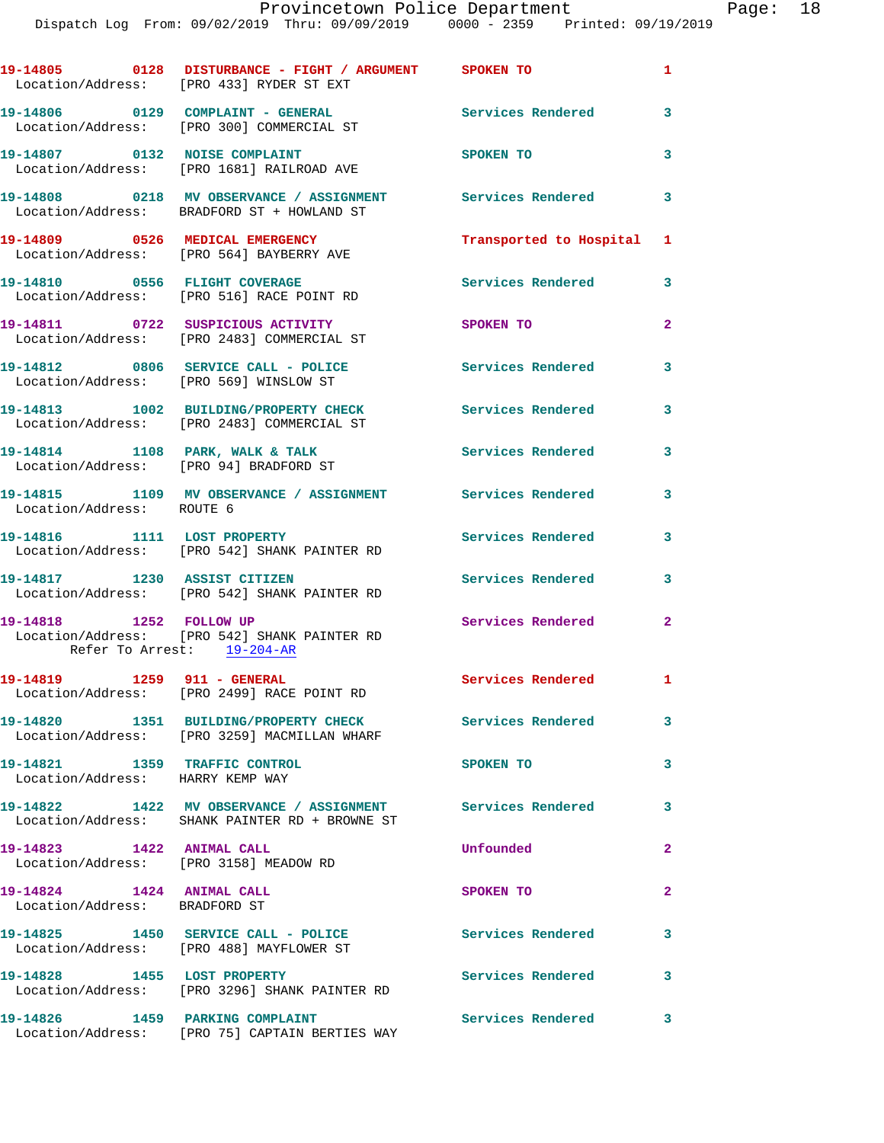|                                                                     | 19-14805 0128 DISTURBANCE - FIGHT / ARGUMENT SPOKEN TO<br>Location/Address: [PRO 433] RYDER ST EXT           |                           | $\mathbf{1}$   |
|---------------------------------------------------------------------|--------------------------------------------------------------------------------------------------------------|---------------------------|----------------|
|                                                                     | 19-14806 0129 COMPLAINT - GENERAL<br>Location/Address: [PRO 300] COMMERCIAL ST                               | Services Rendered 3       |                |
|                                                                     | 19-14807 0132 NOISE COMPLAINT<br>Location/Address: [PRO 1681] RAILROAD AVE                                   | SPOKEN TO                 | 3              |
|                                                                     | 19-14808 0218 MV OBSERVANCE / ASSIGNMENT<br>Location/Address: BRADFORD ST + HOWLAND ST                       | Services Rendered         | 3              |
|                                                                     | 19-14809 0526 MEDICAL EMERGENCY<br>Location/Address: [PRO 564] BAYBERRY AVE                                  | Transported to Hospital 1 |                |
|                                                                     | 19-14810 0556 FLIGHT COVERAGE<br>Location/Address: [PRO 516] RACE POINT RD                                   | Services Rendered         | 3              |
|                                                                     | 19-14811 0722 SUSPICIOUS ACTIVITY<br>Location/Address: [PRO 2483] COMMERCIAL ST                              | SPOKEN TO                 | $\mathbf{2}$   |
| Location/Address: [PRO 569] WINSLOW ST                              | 19-14812 0806 SERVICE CALL - POLICE                                                                          | <b>Services Rendered</b>  | 3              |
|                                                                     | 19-14813 1002 BUILDING/PROPERTY CHECK<br>Location/Address: [PRO 2483] COMMERCIAL ST                          | <b>Services Rendered</b>  | 3              |
|                                                                     | 19-14814 1108 PARK, WALK & TALK<br>Location/Address: [PRO 94] BRADFORD ST                                    | <b>Services Rendered</b>  | 3              |
| Location/Address: ROUTE 6                                           | 19-14815 1109 MV OBSERVANCE / ASSIGNMENT Services Rendered                                                   |                           | 3              |
| 19-14816 1111 LOST PROPERTY                                         | Location/Address: [PRO 542] SHANK PAINTER RD                                                                 | Services Rendered         | 3              |
| 19-14817 1230 ASSIST CITIZEN                                        | Location/Address: [PRO 542] SHANK PAINTER RD                                                                 | <b>Services Rendered</b>  | 3              |
| 19-14818 1252 FOLLOW UP<br>Refer To Arrest: 19-204-AR               | Location/Address: [PRO 542] SHANK PAINTER RD                                                                 | <b>Services Rendered</b>  | $\overline{2}$ |
|                                                                     |                                                                                                              | Services Rendered 1       |                |
|                                                                     | 19-14820 1351 BUILDING/PROPERTY CHECK<br>Location/Address: [PRO 3259] MACMILLAN WHARF                        | Services Rendered         | 3              |
| 19-14821 1359 TRAFFIC CONTROL<br>Location/Address: HARRY KEMP WAY   |                                                                                                              | SPOKEN TO                 | 3              |
|                                                                     | 19-14822 1422 MV OBSERVANCE / ASSIGNMENT Services Rendered<br>Location/Address: SHANK PAINTER RD + BROWNE ST |                           | 3              |
| 19-14823 1422 ANIMAL CALL<br>Location/Address: [PRO 3158] MEADOW RD |                                                                                                              | Unfounded                 | $\mathbf{2}$   |
| 19-14824 1424 ANIMAL CALL<br>Location/Address: BRADFORD ST          |                                                                                                              | SPOKEN TO                 | $\overline{2}$ |
|                                                                     | 19-14825 1450 SERVICE CALL - POLICE<br>Location/Address: [PRO 488] MAYFLOWER ST                              | <b>Services Rendered</b>  | 3              |
| 19-14828 1455 LOST PROPERTY                                         | Location/Address: [PRO 3296] SHANK PAINTER RD                                                                | Services Rendered         | 3              |
|                                                                     | 19-14826 1459 PARKING COMPLAINT<br>Location/Address: [PRO 75] CAPTAIN BERTIES WAY                            | <b>Services Rendered</b>  | 3              |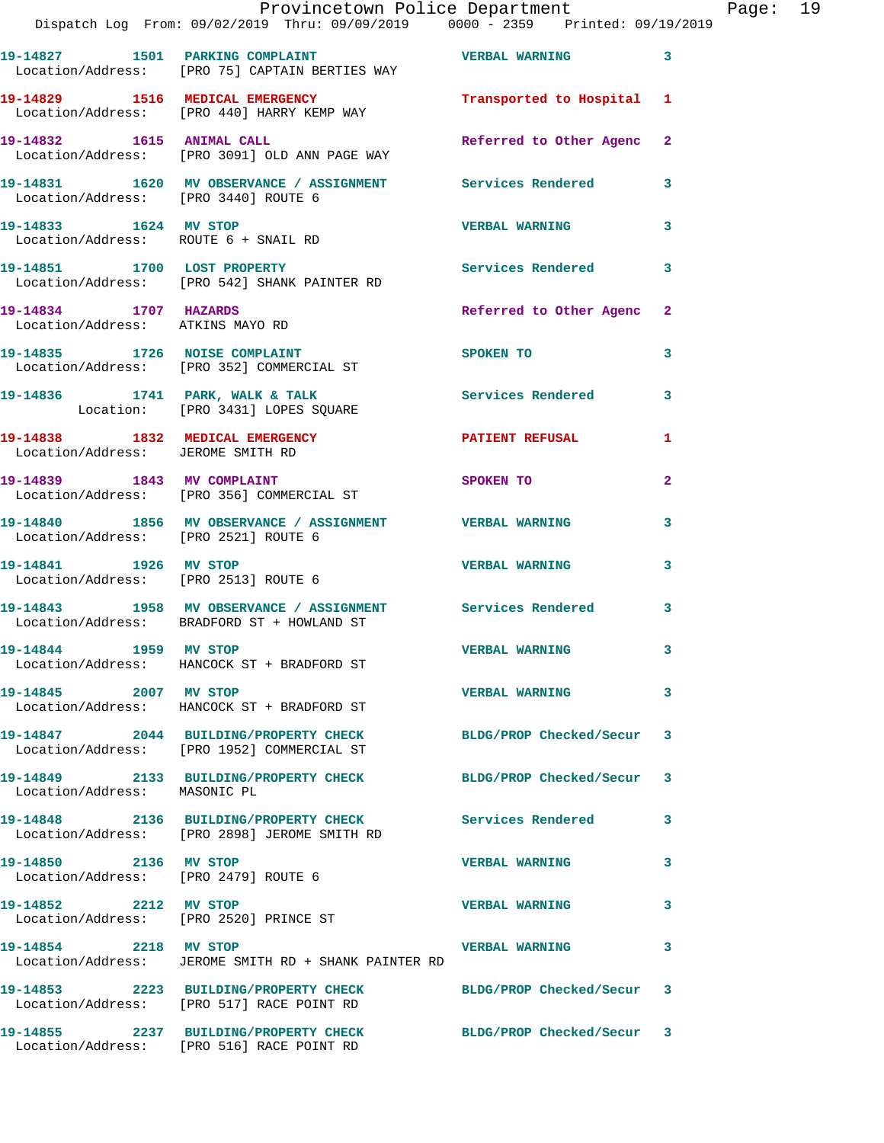|                                                               | Provincetown Police Department<br>Dispatch Log From: 09/02/2019 Thru: 09/09/2019 0000 - 2359 Printed: 09/19/2019 |                         |                |
|---------------------------------------------------------------|------------------------------------------------------------------------------------------------------------------|-------------------------|----------------|
|                                                               | 19-14827 1501 PARKING COMPLAINT THE VERBAL WARNING<br>Location/Address: [PRO 75] CAPTAIN BERTIES WAY             |                         | 3              |
|                                                               | 19-14829 1516 MEDICAL EMERGENCY 1990 Transported to Hospital<br>Location/Address: [PRO 440] HARRY KEMP WAY       |                         | 1              |
|                                                               | 19-14832 1615 ANIMAL CALL<br>Location/Address: [PRO 3091] OLD ANN PAGE WAY                                       | Referred to Other Agenc | $\mathbf{2}$   |
| Location/Address: [PRO 3440] ROUTE 6                          | 19-14831 1620 MV OBSERVANCE / ASSIGNMENT Services Rendered                                                       |                         | 3              |
| 19-14833 1624 MV STOP                                         | Location/Address: ROUTE 6 + SNAIL RD                                                                             | <b>VERBAL WARNING</b>   | 3              |
|                                                               | 19-14851 1700 LOST PROPERTY<br>Location/Address: [PRO 542] SHANK PAINTER RD                                      | Services Rendered       | 3              |
| 19-14834 1707 HAZARDS                                         | Location/Address: ATKINS MAYO RD                                                                                 | Referred to Other Agenc | $\mathbf{2}$   |
|                                                               | 19-14835 1726 NOISE COMPLAINT<br>Location/Address: [PRO 352] COMMERCIAL ST                                       | SPOKEN TO               | 3              |
|                                                               | 19-14836 1741 PARK, WALK & TALK<br>Location: [PRO 3431] LOPES SQUARE                                             | Services Rendered       | 3              |
| Location/Address: JEROME SMITH RD                             | 19-14838 1832 MEDICAL EMERGENCY                                                                                  | <b>PATIENT REFUSAL</b>  | 1              |
|                                                               | 19-14839 1843 MV COMPLAINT<br>Location/Address: [PRO 356] COMMERCIAL ST                                          | SPOKEN TO               | $\overline{a}$ |
| Location/Address: [PRO 2521] ROUTE 6                          | 19-14840 1856 MV OBSERVANCE / ASSIGNMENT VERBAL WARNING                                                          |                         | 3              |
| 19-14841 1926 MV STOP                                         | Location/Address: [PRO 2513] ROUTE 6                                                                             | <b>VERBAL WARNING</b>   | 3              |
|                                                               | 19-14843 1958 MV OBSERVANCE / ASSIGNMENT Services Rendered<br>Location/Address: BRADFORD ST + HOWLAND ST         |                         | 3              |
| 19-14844 1959 MV STOP                                         | Location/Address: HANCOCK ST + BRADFORD ST                                                                       | <b>VERBAL WARNING</b>   |                |
| 19-14845 2007 MV STOP                                         | Location/Address: HANCOCK ST + BRADFORD ST                                                                       | <b>VERBAL WARNING</b>   | 3              |
|                                                               | 19-14847 2044 BUILDING/PROPERTY CHECK<br>Location/Address: [PRO 1952] COMMERCIAL ST                              | BLDG/PROP Checked/Secur | 3              |
| Location/Address: MASONIC PL                                  | 19-14849 2133 BUILDING/PROPERTY CHECK BLDG/PROP Checked/Secur                                                    |                         | 3              |
|                                                               | 19-14848 2136 BUILDING/PROPERTY CHECK Services Rendered<br>Location/Address: [PRO 2898] JEROME SMITH RD          |                         | 3              |
| 19-14850 2136 MV STOP<br>Location/Address: [PRO 2479] ROUTE 6 |                                                                                                                  | <b>VERBAL WARNING</b>   | 3              |
| 19-14852 2212 MV STOP                                         | Location/Address: [PRO 2520] PRINCE ST                                                                           | <b>VERBAL WARNING</b>   | 3              |
| 19-14854 2218 MV STOP                                         | Location/Address: JEROME SMITH RD + SHANK PAINTER RD                                                             | <b>VERBAL WARNING</b>   | 3              |
|                                                               | 19-14853 2223 BUILDING/PROPERTY CHECK BLDG/PROP Checked/Secur<br>Location/Address: [PRO 517] RACE POINT RD       |                         | 3              |
|                                                               | 19-14855 2237 BUILDING/PROPERTY CHECK BLDG/PROP Checked/Secur<br>Location/Address: [PRO 516] RACE POINT RD       |                         | $\mathbf{3}$   |

Page: 19